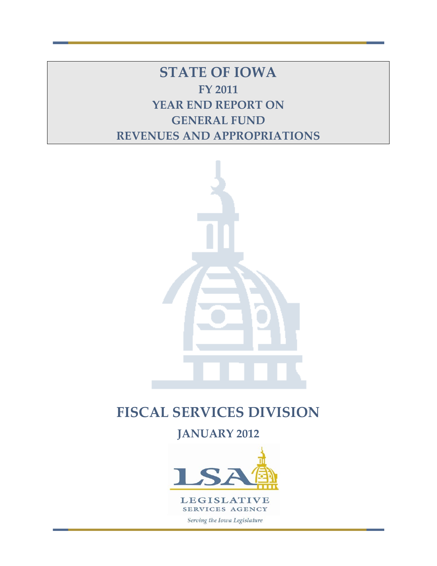**STATE OF IOWA FY 2011 YEAR END REPORT ON GENERAL FUND REVENUES AND APPROPRIATIONS**



# **FISCAL SERVICES DIVISION**

**JANUARY 2012**

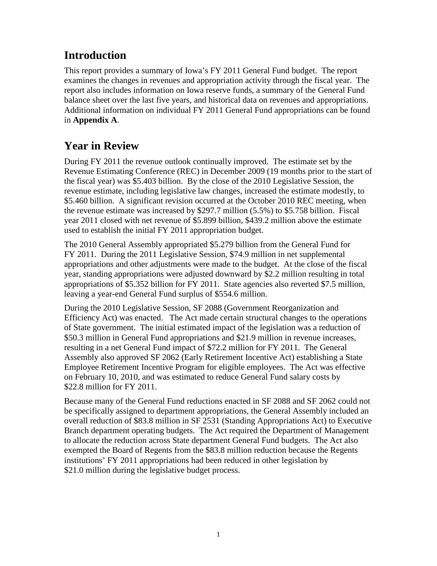# **Introduction**

This report provides a summary of Iowa's FY 2011 General Fund budget. The report examines the changes in revenues and appropriation activity through the fiscal year. The report also includes information on Iowa reserve funds, a summary of the General Fund balance sheet over the last five years, and historical data on revenues and appropriations. Additional information on individual FY 2011 General Fund appropriations can be found in **Appendix A**.

# **Year in Review**

During FY 2011 the revenue outlook continually improved. The estimate set by the Revenue Estimating Conference (REC) in December 2009 (19 months prior to the start of the fiscal year) was \$5.403 billion. By the close of the 2010 Legislative Session, the revenue estimate, including legislative law changes, increased the estimate modestly, to \$5.460 billion. A significant revision occurred at the October 2010 REC meeting, when the revenue estimate was increased by \$297.7 million (5.5%) to \$5.758 billion. Fiscal year 2011 closed with net revenue of \$5.899 billion, \$439.2 million above the estimate used to establish the initial FY 2011 appropriation budget.

The 2010 General Assembly appropriated \$5.279 billion from the General Fund for FY 2011. During the 2011 Legislative Session, \$74.9 million in net supplemental appropriations and other adjustments were made to the budget. At the close of the fiscal year, standing appropriations were adjusted downward by \$2.2 million resulting in total appropriations of \$5.352 billion for FY 2011. State agencies also reverted \$7.5 million, leaving a year-end General Fund surplus of \$554.6 million.

During the 2010 Legislative Session, SF 2088 (Government Reorganization and Efficiency Act) was enacted. The Act made certain structural changes to the operations of State government. The initial estimated impact of the legislation was a reduction of \$50.3 million in General Fund appropriations and \$21.9 million in revenue increases, resulting in a net General Fund impact of \$72.2 million for FY 2011. The General Assembly also approved SF 2062 (Early Retirement Incentive Act) establishing a State Employee Retirement Incentive Program for eligible employees. The Act was effective on February 10, 2010, and was estimated to reduce General Fund salary costs by \$22.8 million for FY 2011.

Because many of the General Fund reductions enacted in SF 2088 and SF 2062 could not be specifically assigned to department appropriations, the General Assembly included an overall reduction of \$83.8 million in SF 2531 (Standing Appropriations Act) to Executive Branch department operating budgets. The Act required the Department of Management to allocate the reduction across State department General Fund budgets. The Act also exempted the Board of Regents from the \$83.8 million reduction because the Regents institutions' FY 2011 appropriations had been reduced in other legislation by \$21.0 million during the legislative budget process.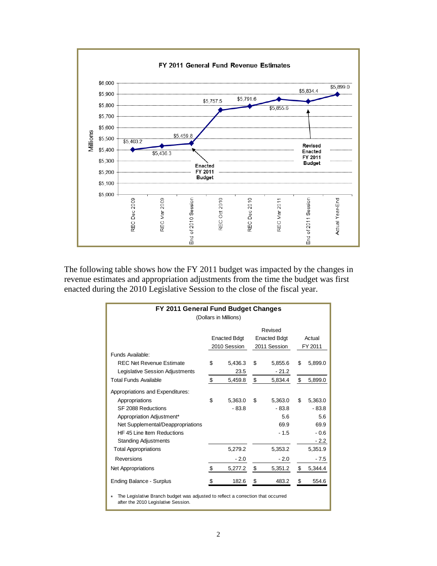

The following table shows how the FY 2011 budget was impacted by the changes in revenue estimates and appropriation adjustments from the time the budget was first enacted during the 2010 Legislative Session to the close of the fiscal year.

| FY 2011 General Fund Budget Changes<br>(Dollars in Millions)                                                                                                                                            |    |                                     |    |                                                |    |                                                       |  |  |  |  |
|---------------------------------------------------------------------------------------------------------------------------------------------------------------------------------------------------------|----|-------------------------------------|----|------------------------------------------------|----|-------------------------------------------------------|--|--|--|--|
| Funds Available:                                                                                                                                                                                        |    | <b>Enacted Bdgt</b><br>2010 Session |    | Revised<br><b>Enacted Bdgt</b><br>2011 Session |    | Actual<br>FY 2011                                     |  |  |  |  |
| <b>REC Net Revenue Estimate</b><br>Legislative Session Adjustments                                                                                                                                      | \$ | 5,436.3<br>23.5                     | \$ | 5,855.6<br>$-21.2$                             | \$ | 5,899.0                                               |  |  |  |  |
| <b>Total Funds Available</b>                                                                                                                                                                            | \$ | 5,459.8                             | \$ | 5,834.4                                        | \$ | 5,899.0                                               |  |  |  |  |
| Appropriations and Expenditures:<br>Appropriations<br>SF 2088 Reductions<br>Appropriation Adjustment*<br>Net Supplemental/Deappropriations<br>HF 45 Line Item Reductions<br><b>Standing Adjustments</b> | \$ | 5,363.0<br>$-83.8$                  | \$ | 5,363.0<br>$-83.8$<br>5.6<br>69.9<br>$-1.5$    | \$ | 5,363.0<br>$-83.8$<br>5.6<br>69.9<br>$-0.6$<br>$-2.2$ |  |  |  |  |
| <b>Total Appropriations</b>                                                                                                                                                                             |    | 5.279.2                             |    | 5,353.2                                        |    | 5,351.9                                               |  |  |  |  |
| Reversions                                                                                                                                                                                              |    | $-2.0$                              |    | $-2.0$                                         |    | - 7.5                                                 |  |  |  |  |
| <b>Net Appropriations</b>                                                                                                                                                                               | \$ | 5,277.2                             | \$ | 5,351.2                                        | \$ | 5,344.4                                               |  |  |  |  |
| <b>Ending Balance - Surplus</b>                                                                                                                                                                         | S  | 182.6                               | \$ | 483.2                                          | \$ | 554.6                                                 |  |  |  |  |
| The Legislative Branch budget was adjusted to reflect a correction that occurred<br>after the 2010 Legislative Session.                                                                                 |    |                                     |    |                                                |    |                                                       |  |  |  |  |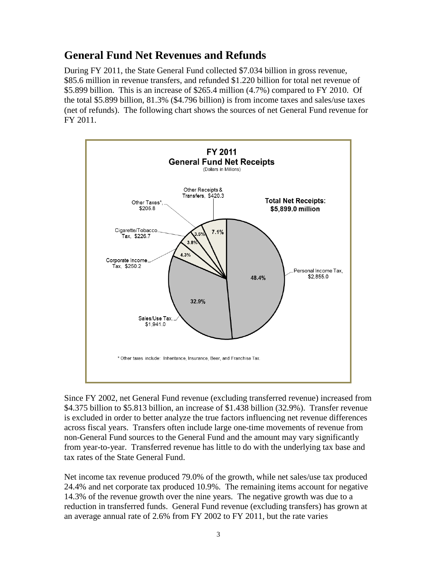# **General Fund Net Revenues and Refunds**

During FY 2011, the State General Fund collected \$7.034 billion in gross revenue, \$85.6 million in revenue transfers, and refunded \$1.220 billion for total net revenue of \$5.899 billion. This is an increase of \$265.4 million (4.7%) compared to FY 2010. Of the total \$5.899 billion, 81.3% (\$4.796 billion) is from income taxes and sales/use taxes (net of refunds). The following chart shows the sources of net General Fund revenue for FY 2011.



Since FY 2002, net General Fund revenue (excluding transferred revenue) increased from \$4.375 billion to \$5.813 billion, an increase of \$1.438 billion (32.9%). Transfer revenue is excluded in order to better analyze the true factors influencing net revenue differences across fiscal years. Transfers often include large one-time movements of revenue from non-General Fund sources to the General Fund and the amount may vary significantly from year-to-year. Transferred revenue has little to do with the underlying tax base and tax rates of the State General Fund.

Net income tax revenue produced 79.0% of the growth, while net sales/use tax produced 24.4% and net corporate tax produced 10.9%. The remaining items account for negative 14.3% of the revenue growth over the nine years. The negative growth was due to a reduction in transferred funds. General Fund revenue (excluding transfers) has grown at an average annual rate of 2.6% from FY 2002 to FY 2011, but the rate varies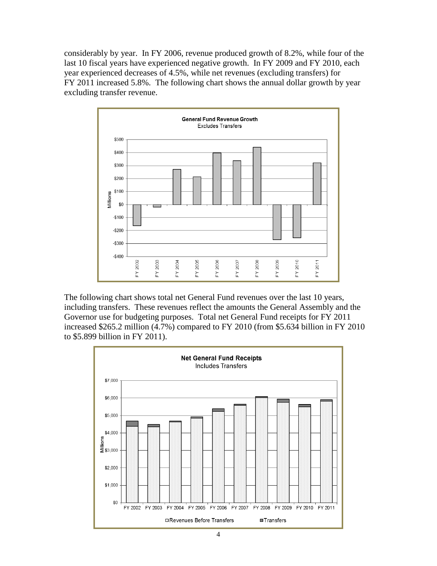considerably by year. In FY 2006, revenue produced growth of 8.2%, while four of the last 10 fiscal years have experienced negative growth. In FY 2009 and FY 2010, each year experienced decreases of 4.5%, while net revenues (excluding transfers) for FY 2011 increased 5.8%. The following chart shows the annual dollar growth by year excluding transfer revenue.



The following chart shows total net General Fund revenues over the last 10 years, including transfers. These revenues reflect the amounts the General Assembly and the Governor use for budgeting purposes. Total net General Fund receipts for FY 2011 increased \$265.2 million (4.7%) compared to FY 2010 (from \$5.634 billion in FY 2010 to \$5.899 billion in FY 2011).

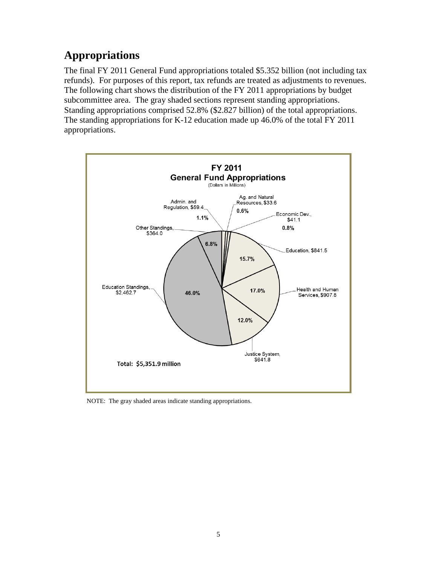# **Appropriations**

The final FY 2011 General Fund appropriations totaled \$5.352 billion (not including tax refunds). For purposes of this report, tax refunds are treated as adjustments to revenues. The following chart shows the distribution of the FY 2011 appropriations by budget subcommittee area. The gray shaded sections represent standing appropriations. Standing appropriations comprised 52.8% (\$2.827 billion) of the total appropriations. The standing appropriations for K-12 education made up 46.0% of the total FY 2011 appropriations.



NOTE: The gray shaded areas indicate standing appropriations.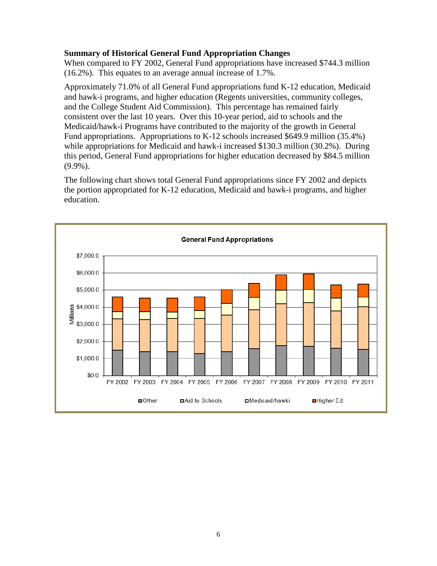#### **Summary of Historical General Fund Appropriation Changes**

When compared to FY 2002, General Fund appropriations have increased \$744.3 million (16.2%). This equates to an average annual increase of 1.7%.

Approximately 71.0% of all General Fund appropriations fund K-12 education, Medicaid and hawk-i programs, and higher education (Regents universities, community colleges, and the College Student Aid Commission). This percentage has remained fairly consistent over the last 10 years. Over this 10-year period, aid to schools and the Medicaid/hawk-i Programs have contributed to the majority of the growth in General Fund appropriations. Appropriations to K-12 schools increased \$649.9 million (35.4%) while appropriations for Medicaid and hawk-i increased \$130.3 million (30.2%). During this period, General Fund appropriations for higher education decreased by \$84.5 million (9.9%).

The following chart shows total General Fund appropriations since FY 2002 and depicts the portion appropriated for K-12 education, Medicaid and hawk-i programs, and higher education.

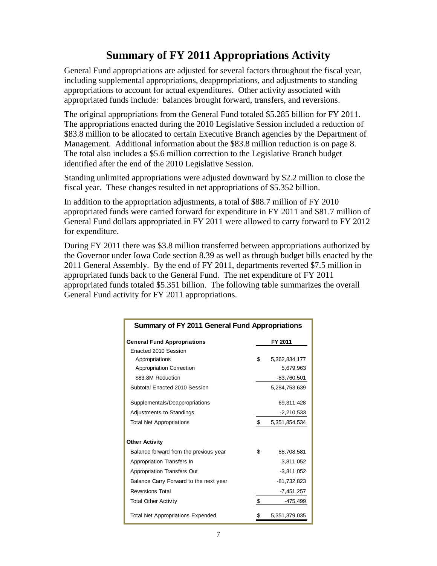# **Summary of FY 2011 Appropriations Activity**

General Fund appropriations are adjusted for several factors throughout the fiscal year, including supplemental appropriations, deappropriations, and adjustments to standing appropriations to account for actual expenditures. Other activity associated with appropriated funds include: balances brought forward, transfers, and reversions.

The original appropriations from the General Fund totaled \$5.285 billion for FY 2011. The appropriations enacted during the 2010 Legislative Session included a reduction of \$83.8 million to be allocated to certain Executive Branch agencies by the Department of Management. Additional information about the \$83.8 million reduction is on page 8. The total also includes a \$5.6 million correction to the Legislative Branch budget identified after the end of the 2010 Legislative Session.

Standing unlimited appropriations were adjusted downward by \$2.2 million to close the fiscal year. These changes resulted in net appropriations of \$5.352 billion.

In addition to the appropriation adjustments, a total of \$88.7 million of FY 2010 appropriated funds were carried forward for expenditure in FY 2011 and \$81.7 million of General Fund dollars appropriated in FY 2011 were allowed to carry forward to FY 2012 for expenditure.

During FY 2011 there was \$3.8 million transferred between appropriations authorized by the Governor under Iowa Code section 8.39 as well as through budget bills enacted by the 2011 General Assembly. By the end of FY 2011, departments reverted \$7.5 million in appropriated funds back to the General Fund. The net expenditure of FY 2011 appropriated funds totaled \$5.351 billion. The following table summarizes the overall General Fund activity for FY 2011 appropriations.

| <b>Summary of FY 2011 General Fund Appropriations</b> |    |               |  |  |  |  |  |  |  |
|-------------------------------------------------------|----|---------------|--|--|--|--|--|--|--|
| <b>General Fund Appropriations</b>                    |    | FY 2011       |  |  |  |  |  |  |  |
| Enacted 2010 Session                                  |    |               |  |  |  |  |  |  |  |
| Appropriations                                        | \$ | 5,362,834,177 |  |  |  |  |  |  |  |
| <b>Appropriation Correction</b>                       |    | 5,679,963     |  |  |  |  |  |  |  |
| \$83.8M Reduction                                     |    | $-83,760,501$ |  |  |  |  |  |  |  |
| Subtotal Enacted 2010 Session                         |    | 5,284,753,639 |  |  |  |  |  |  |  |
| Supplementals/Deappropriations                        |    | 69,311,428    |  |  |  |  |  |  |  |
| Adjustments to Standings                              |    | $-2,210,533$  |  |  |  |  |  |  |  |
| <b>Total Net Appropriations</b>                       | \$ | 5,351,854,534 |  |  |  |  |  |  |  |
| <b>Other Activity</b>                                 |    |               |  |  |  |  |  |  |  |
| Balance forward from the previous year                | \$ | 88,708,581    |  |  |  |  |  |  |  |
| Appropriation Transfers In                            |    | 3,811,052     |  |  |  |  |  |  |  |
| <b>Appropriation Transfers Out</b>                    |    | $-3,811,052$  |  |  |  |  |  |  |  |
| Balance Carry Forward to the next year                |    | $-81,732,823$ |  |  |  |  |  |  |  |
| <b>Reversions Total</b>                               |    | $-7,451,257$  |  |  |  |  |  |  |  |
| <b>Total Other Activity</b>                           | \$ | -475,499      |  |  |  |  |  |  |  |
| <b>Total Net Appropriations Expended</b>              | \$ | 5,351,379,035 |  |  |  |  |  |  |  |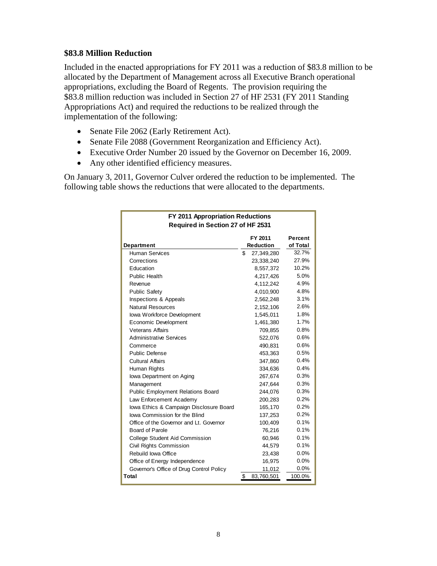#### **\$83.8 Million Reduction**

Included in the enacted appropriations for FY 2011 was a reduction of \$83.8 million to be allocated by the Department of Management across all Executive Branch operational appropriations, excluding the Board of Regents. The provision requiring the \$83.8 million reduction was included in Section 27 of HF 2531 (FY 2011 Standing Appropriations Act) and required the reductions to be realized through the implementation of the following:

- Senate File 2062 (Early Retirement Act).
- Senate File 2088 (Government Reorganization and Efficiency Act).
- Executive Order Number 20 issued by the Governor on December 16, 2009.
- Any other identified efficiency measures.

On January 3, 2011, Governor Culver ordered the reduction to be implemented. The following table shows the reductions that were allocated to the departments.

| FY 2011 Appropriation Reductions         |                             |                     |  |  |  |  |  |  |  |  |
|------------------------------------------|-----------------------------|---------------------|--|--|--|--|--|--|--|--|
| Required in Section 27 of HF 2531        |                             |                     |  |  |  |  |  |  |  |  |
| Department                               | FY 2011<br><b>Reduction</b> | Percent<br>of Total |  |  |  |  |  |  |  |  |
| <b>Human Services</b>                    | \$<br>27,349,280            | 32.7%               |  |  |  |  |  |  |  |  |
| Corrections                              | 23,338,240                  | 27.9%               |  |  |  |  |  |  |  |  |
| Education                                | 8,557,372                   | 10.2%               |  |  |  |  |  |  |  |  |
| Public Health                            | 4,217,426                   | 5.0%                |  |  |  |  |  |  |  |  |
| Revenue                                  | 4,112,242                   | 4.9%                |  |  |  |  |  |  |  |  |
| <b>Public Safety</b>                     | 4.010.900                   | 4.8%                |  |  |  |  |  |  |  |  |
| Inspections & Appeals                    | 2,562,248                   | 3.1%                |  |  |  |  |  |  |  |  |
| <b>Natural Resources</b>                 | 2,152,106                   | 2.6%                |  |  |  |  |  |  |  |  |
| Iowa Workforce Development               | 1,545,011                   | 1.8%                |  |  |  |  |  |  |  |  |
| Economic Development                     | 1,461,380                   | 1.7%                |  |  |  |  |  |  |  |  |
| <b>Veterans Affairs</b>                  | 709,855                     | 0.8%                |  |  |  |  |  |  |  |  |
| <b>Administrative Services</b>           | 522,076                     | 0.6%                |  |  |  |  |  |  |  |  |
| Commerce                                 | 490,831                     | 0.6%                |  |  |  |  |  |  |  |  |
| <b>Public Defense</b>                    | 453.363                     | 0.5%                |  |  |  |  |  |  |  |  |
| <b>Cultural Affairs</b>                  | 347,860                     | 0.4%                |  |  |  |  |  |  |  |  |
| Human Rights                             | 334,636                     | 0.4%                |  |  |  |  |  |  |  |  |
| lowa Department on Aging                 | 267,674                     | 0.3%                |  |  |  |  |  |  |  |  |
| Management                               | 247,644                     | 0.3%                |  |  |  |  |  |  |  |  |
| <b>Public Employment Relations Board</b> | 244,076                     | 0.3%                |  |  |  |  |  |  |  |  |
| Law Enforcement Academy                  | 200,283                     | 0.2%                |  |  |  |  |  |  |  |  |
| lowa Ethics & Campaign Disclosure Board  | 165,170                     | 0.2%                |  |  |  |  |  |  |  |  |
| lowa Commission for the Blind            | 137,253                     | 0.2%                |  |  |  |  |  |  |  |  |
| Office of the Governor and Lt. Governor  | 100,409                     | 0.1%                |  |  |  |  |  |  |  |  |
| Board of Parole                          | 76,216                      | 0.1%                |  |  |  |  |  |  |  |  |
| <b>College Student Aid Commission</b>    | 60,946                      | 0.1%                |  |  |  |  |  |  |  |  |
| Civil Rights Commission                  | 44,579                      | 0.1%                |  |  |  |  |  |  |  |  |
| Rebuild Iowa Office                      | 23,438                      | $0.0\%$             |  |  |  |  |  |  |  |  |
| Office of Energy Independence            | 16,975                      | $0.0\%$             |  |  |  |  |  |  |  |  |
| Governor's Office of Drug Control Policy | 11,012                      | 0.0%                |  |  |  |  |  |  |  |  |
| Total                                    | \$<br>83,760,501            | 100.0%              |  |  |  |  |  |  |  |  |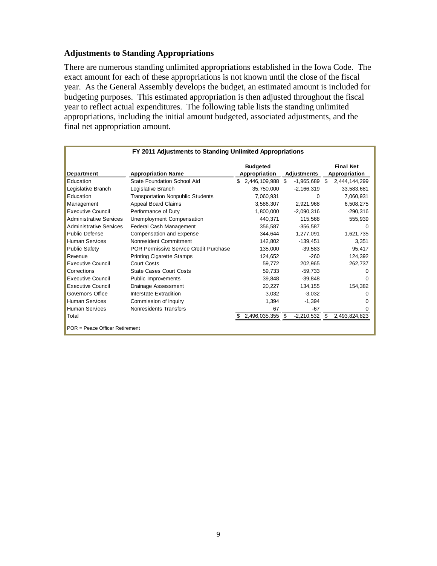#### **Adjustments to Standing Appropriations**

There are numerous standing unlimited appropriations established in the Iowa Code. The exact amount for each of these appropriations is not known until the close of the fiscal year. As the General Assembly develops the budget, an estimated amount is included for budgeting purposes. This estimated appropriation is then adjusted throughout the fiscal year to reflect actual expenditures. The following table lists the standing unlimited appropriations, including the initial amount budgeted, associated adjustments, and the final net appropriation amount.

|                                | FY 2011 Adjustments to Standing Unlimited Appropriations |                                  |                    |     |                                   |
|--------------------------------|----------------------------------------------------------|----------------------------------|--------------------|-----|-----------------------------------|
| Department                     | <b>Appropriation Name</b>                                | <b>Budgeted</b><br>Appropriation | Adjustments        |     | <b>Final Net</b><br>Appropriation |
| Education                      | <b>State Foundation School Aid</b>                       | \$<br>2,446,109,988              | \$<br>$-1,965,689$ | \$. | 2,444,144,299                     |
| Legislative Branch             | Legislative Branch                                       | 35,750,000                       | $-2,166,319$       |     | 33,583,681                        |
| Education                      | <b>Transportation Nonpublic Students</b>                 | 7,060,931                        | 0                  |     | 7,060,931                         |
| Management                     | Appeal Board Claims                                      | 3,586,307                        | 2,921,968          |     | 6,508,275                         |
| <b>Executive Council</b>       | Performance of Duty                                      | 1,800,000                        | $-2,090,316$       |     | $-290,316$                        |
| <b>Administrative Services</b> | Unemployment Compensation                                | 440,371                          | 115,568            |     | 555,939                           |
| <b>Administrative Services</b> | Federal Cash Management                                  | 356,587                          | $-356,587$         |     | 0                                 |
| <b>Public Defense</b>          | Compensation and Expense                                 | 344,644                          | 1,277,091          |     | 1,621,735                         |
| Human Services                 | Nonresident Commitment                                   | 142,802                          | $-139,451$         |     | 3.351                             |
| <b>Public Safety</b>           | POR Permissive Service Credit Purchase                   | 135,000                          | $-39.583$          |     | 95,417                            |
| Revenue                        | <b>Printing Cigarette Stamps</b>                         | 124,652                          | $-260$             |     | 124,392                           |
| <b>Executive Council</b>       | <b>Court Costs</b>                                       | 59.772                           | 202,965            |     | 262,737                           |
| Corrections                    | <b>State Cases Court Costs</b>                           | 59,733                           | $-59,733$          |     | 0                                 |
| <b>Executive Council</b>       | Public Improvements                                      | 39,848                           | $-39,848$          |     | 0                                 |
| <b>Executive Council</b>       | Drainage Assessment                                      | 20,227                           | 134,155            |     | 154,382                           |
| Governor's Office              | Interstate Extradition                                   | 3,032                            | $-3,032$           |     | 0                                 |
| <b>Human Services</b>          | Commission of Inquiry                                    | 1,394                            | $-1,394$           |     | 0                                 |
| <b>Human Services</b>          | Nonresidents Transfers                                   | 67                               | $-67$              |     | 0                                 |
| Total                          |                                                          | 2,496,035,355                    | \$<br>$-2,210,532$ | \$  | 2,493,824,823                     |
| POR = Peace Officer Retirement |                                                          |                                  |                    |     |                                   |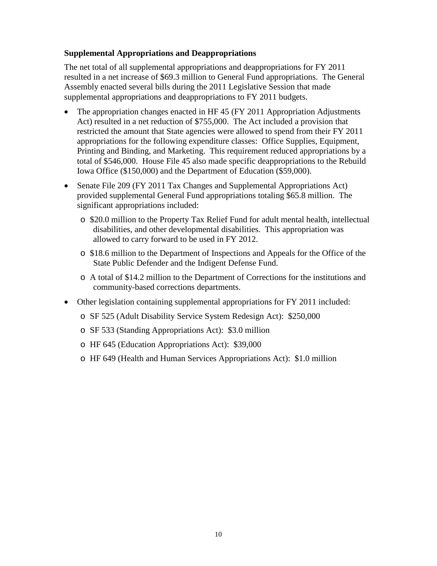#### **Supplemental Appropriations and Deappropriations**

The net total of all supplemental appropriations and deappropriations for FY 2011 resulted in a net increase of \$69.3 million to General Fund appropriations. The General Assembly enacted several bills during the 2011 Legislative Session that made supplemental appropriations and deappropriations to FY 2011 budgets.

- The appropriation changes enacted in HF 45 (FY 2011 Appropriation Adjustments Act) resulted in a net reduction of \$755,000. The Act included a provision that restricted the amount that State agencies were allowed to spend from their FY 2011 appropriations for the following expenditure classes: Office Supplies, Equipment, Printing and Binding, and Marketing. This requirement reduced appropriations by a total of \$546,000. House File 45 also made specific deappropriations to the Rebuild Iowa Office (\$150,000) and the Department of Education (\$59,000).
- Senate File 209 (FY 2011 Tax Changes and Supplemental Appropriations Act) provided supplemental General Fund appropriations totaling \$65.8 million. The significant appropriations included:
	- o \$20.0 million to the Property Tax Relief Fund for adult mental health, intellectual disabilities, and other developmental disabilities. This appropriation was allowed to carry forward to be used in FY 2012.
	- o \$18.6 million to the Department of Inspections and Appeals for the Office of the State Public Defender and the Indigent Defense Fund.
	- o A total of \$14.2 million to the Department of Corrections for the institutions and community-based corrections departments.
- Other legislation containing supplemental appropriations for FY 2011 included:
	- o SF 525 (Adult Disability Service System Redesign Act): \$250,000
	- o SF 533 (Standing Appropriations Act): \$3.0 million
	- o HF 645 (Education Appropriations Act): \$39,000
	- o HF 649 (Health and Human Services Appropriations Act): \$1.0 million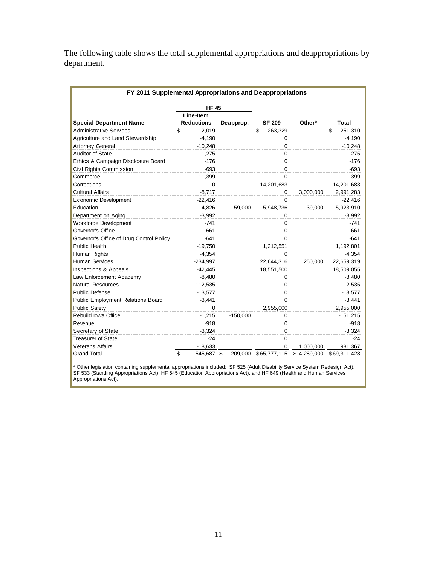The following table shows the total supplemental appropriations and deappropriations by department.

| FY 2011 Supplemental Appropriations and Deappropriations |              |                   |            |                       |             |               |  |  |  |  |  |
|----------------------------------------------------------|--------------|-------------------|------------|-----------------------|-------------|---------------|--|--|--|--|--|
|                                                          | <b>HF 45</b> |                   |            |                       |             |               |  |  |  |  |  |
|                                                          |              | Line-Item         |            |                       |             |               |  |  |  |  |  |
| <b>Special Department Name</b>                           |              | <b>Reductions</b> | Deapprop.  | <b>SF 209</b>         | Other*      | Total         |  |  |  |  |  |
| <b>Administrative Services</b>                           | \$           | $-12,019$         |            | \$<br>263,329         |             | \$<br>251,310 |  |  |  |  |  |
| Agriculture and Land Stewardship                         |              | $-4,190$          |            | 0                     |             | $-4,190$      |  |  |  |  |  |
| <b>Attorney General</b>                                  |              | $-10.248$         |            | $\Omega$              |             | $-10,248$     |  |  |  |  |  |
| <b>Auditor of State</b>                                  |              | $-1,275$          |            | $\Omega$              |             | $-1,275$      |  |  |  |  |  |
| Ethics & Campaign Disclosure Board                       |              | $-176$            |            | $\Omega$              |             | $-176$        |  |  |  |  |  |
| Civil Rights Commission                                  |              | $-693$            |            | $\Omega$              |             | $-693$        |  |  |  |  |  |
| Commerce                                                 |              | $-11,399$         |            | 0                     |             | $-11,399$     |  |  |  |  |  |
| Corrections                                              |              | $\Omega$          |            | 14,201,683            |             | 14,201,683    |  |  |  |  |  |
| <b>Cultural Affairs</b>                                  |              | $-8.717$          |            | 0                     | 3,000,000   | 2,991,283     |  |  |  |  |  |
| Economic Development                                     |              | $-22,416$         |            | $\Omega$              |             | $-22,416$     |  |  |  |  |  |
| Education                                                |              | $-4,826$          | $-59,000$  | 5,948,736             | 39,000      | 5,923,910     |  |  |  |  |  |
| Department on Aging                                      |              | $-3,992$          |            | 0                     |             | $-3,992$      |  |  |  |  |  |
| <b>Workforce Development</b>                             |              | $-741$            |            | 0                     |             | $-741$        |  |  |  |  |  |
| Governor's Office                                        |              | $-661$            |            | 0                     |             | $-661$        |  |  |  |  |  |
| Governor's Office of Drug Control Policy                 |              | $-641$            |            | 0                     |             | $-641$        |  |  |  |  |  |
| <b>Public Health</b>                                     |              | $-19,750$         |            | 1,212,551             |             | 1,192,801     |  |  |  |  |  |
| Human Rights                                             |              | $-4,354$          |            | 0                     |             | $-4,354$      |  |  |  |  |  |
| <b>Human Services</b>                                    |              | $-234,997$        |            | 22,644,316            | 250,000     | 22,659,319    |  |  |  |  |  |
| Inspections & Appeals                                    |              | $-42,445$         |            | 18,551,500            |             | 18,509,055    |  |  |  |  |  |
| Law Enforcement Academy                                  |              | $-8,480$          |            | 0                     |             | $-8,480$      |  |  |  |  |  |
| <b>Natural Resources</b>                                 |              | $-112.535$        |            | 0                     |             | $-112,535$    |  |  |  |  |  |
| <b>Public Defense</b>                                    |              | $-13,577$         |            | $\mathbf 0$           |             | $-13,577$     |  |  |  |  |  |
| <b>Public Employment Relations Board</b>                 |              | $-3,441$          |            | 0                     |             | $-3,441$      |  |  |  |  |  |
| <b>Public Safety</b>                                     |              | 0                 |            | 2,955,000             |             | 2,955,000     |  |  |  |  |  |
| Rebuild Iowa Office                                      |              | $-1,215$          | $-150,000$ | 0                     |             | $-151,215$    |  |  |  |  |  |
| Revenue                                                  |              | $-918$            |            | 0                     |             | $-918$        |  |  |  |  |  |
| Secretary of State                                       |              | $-3,324$          |            | 0                     |             | $-3,324$      |  |  |  |  |  |
| <b>Treasurer of State</b>                                |              | $-24$             |            | $\Omega$              |             | $-24$         |  |  |  |  |  |
| <b>Veterans Affairs</b>                                  |              | $-18,633$         |            | <sup>0</sup>          | 1,000,000   | 981,367       |  |  |  |  |  |
| <b>Grand Total</b>                                       | \$           | $-545,687$ \$     |            | -209,000 \$65,777,115 | \$4,289,000 | \$69,311,428  |  |  |  |  |  |

\* Other legislation containing supplemental appropriations included: SF 525 (Adult Disability Service System Redesign Act), SF 533 (Standing Appropriations Act), HF 645 (Education Appropriations Act), and HF 649 (Health and Human Services Appropriations Act).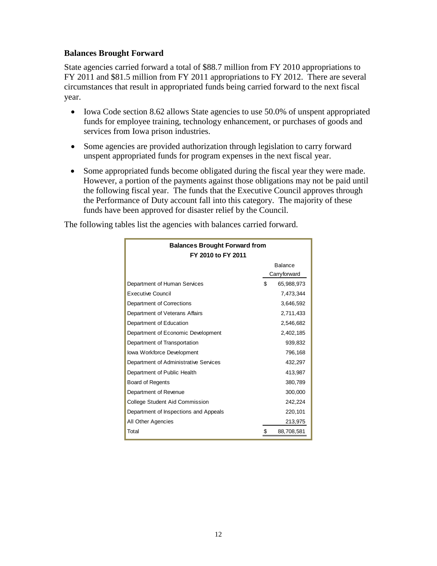#### **Balances Brought Forward**

State agencies carried forward a total of \$88.7 million from FY 2010 appropriations to FY 2011 and \$81.5 million from FY 2011 appropriations to FY 2012. There are several circumstances that result in appropriated funds being carried forward to the next fiscal year.

- Iowa Code section 8.62 allows State agencies to use 50.0% of unspent appropriated funds for employee training, technology enhancement, or purchases of goods and services from Iowa prison industries.
- Some agencies are provided authorization through legislation to carry forward unspent appropriated funds for program expenses in the next fiscal year.
- Some appropriated funds become obligated during the fiscal year they were made. However, a portion of the payments against those obligations may not be paid until the following fiscal year. The funds that the Executive Council approves through the Performance of Duty account fall into this category. The majority of these funds have been approved for disaster relief by the Council.

The following tables list the agencies with balances carried forward.

| <b>Balances Brought Forward from</b>  |         |              |  |  |  |  |  |  |  |
|---------------------------------------|---------|--------------|--|--|--|--|--|--|--|
| FY 2010 to FY 2011                    |         |              |  |  |  |  |  |  |  |
|                                       | Balance |              |  |  |  |  |  |  |  |
|                                       |         | Carryforward |  |  |  |  |  |  |  |
| Department of Human Services          | \$      | 65,988,973   |  |  |  |  |  |  |  |
| <b>Executive Council</b>              |         | 7,473,344    |  |  |  |  |  |  |  |
| Department of Corrections             |         | 3,646,592    |  |  |  |  |  |  |  |
| Department of Veterans Affairs        |         | 2,711,433    |  |  |  |  |  |  |  |
| Department of Education               |         | 2,546,682    |  |  |  |  |  |  |  |
| Department of Economic Development    |         | 2,402,185    |  |  |  |  |  |  |  |
| Department of Transportation          |         | 939,832      |  |  |  |  |  |  |  |
| lowa Workforce Development            |         | 796,168      |  |  |  |  |  |  |  |
| Department of Administrative Services |         | 432,297      |  |  |  |  |  |  |  |
| Department of Public Health           |         | 413,987      |  |  |  |  |  |  |  |
| Board of Regents                      |         | 380,789      |  |  |  |  |  |  |  |
| Department of Revenue                 |         | 300,000      |  |  |  |  |  |  |  |
| College Student Aid Commission        |         | 242,224      |  |  |  |  |  |  |  |
| Department of Inspections and Appeals |         | 220,101      |  |  |  |  |  |  |  |
| All Other Agencies                    |         | 213,975      |  |  |  |  |  |  |  |
| Total                                 | \$      | 88,708,581   |  |  |  |  |  |  |  |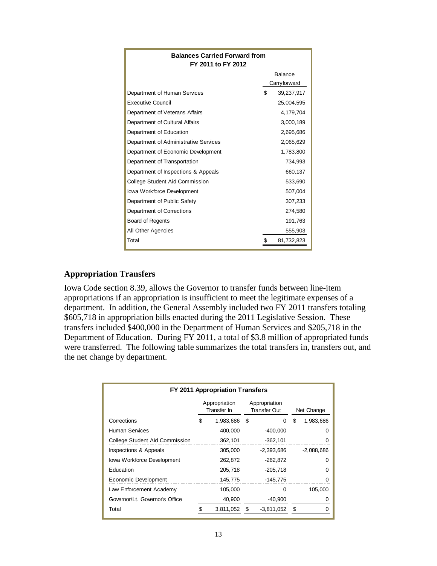| <b>Balances Carried Forward from</b><br>FY 2011 to FY 2012 |    |              |  |  |  |  |  |  |
|------------------------------------------------------------|----|--------------|--|--|--|--|--|--|
|                                                            |    | Balance      |  |  |  |  |  |  |
|                                                            |    | Carryforward |  |  |  |  |  |  |
| Department of Human Services                               | \$ | 39,237,917   |  |  |  |  |  |  |
| <b>Executive Council</b>                                   |    | 25,004,595   |  |  |  |  |  |  |
| Department of Veterans Affairs                             |    | 4,179,704    |  |  |  |  |  |  |
| Department of Cultural Affairs                             |    | 3,000,189    |  |  |  |  |  |  |
| Department of Education                                    |    | 2,695,686    |  |  |  |  |  |  |
| Department of Administrative Services                      |    | 2,065,629    |  |  |  |  |  |  |
| Department of Economic Development                         |    | 1,783,800    |  |  |  |  |  |  |
| Department of Transportation                               |    | 734,993      |  |  |  |  |  |  |
| Department of Inspections & Appeals                        |    | 660.137      |  |  |  |  |  |  |
| <b>College Student Aid Commission</b>                      |    | 533,690      |  |  |  |  |  |  |
| lowa Workforce Development                                 |    | 507,004      |  |  |  |  |  |  |
| Department of Public Safety                                |    | 307,233      |  |  |  |  |  |  |
| Department of Corrections                                  |    | 274,580      |  |  |  |  |  |  |
| Board of Regents                                           |    | 191,763      |  |  |  |  |  |  |
| All Other Agencies                                         |    | 555,903      |  |  |  |  |  |  |
| Total                                                      | \$ | 81,732,823   |  |  |  |  |  |  |

#### **Appropriation Transfers**

Iowa Code section 8.39, allows the Governor to transfer funds between line-item appropriations if an appropriation is insufficient to meet the legitimate expenses of a department. In addition, the General Assembly included two FY 2011 transfers totaling \$605,718 in appropriation bills enacted during the 2011 Legislative Session. These transfers included \$400,000 in the Department of Human Services and \$205,718 in the Department of Education. During FY 2011, a total of \$3.8 million of appropriated funds were transferred. The following table summarizes the total transfers in, transfers out, and the net change by department.

| FY 2011 Appropriation Transfers |                              |           |                               |              |    |              |  |  |  |  |  |
|---------------------------------|------------------------------|-----------|-------------------------------|--------------|----|--------------|--|--|--|--|--|
|                                 | Appropriation<br>Transfer In |           | Appropriation<br>Transfer Out |              |    | Net Change   |  |  |  |  |  |
| Corrections                     | \$                           | 1,983,686 | - \$                          | 0            | \$ | 1,983,686    |  |  |  |  |  |
| Human Services                  |                              | 400,000   |                               | $-400,000$   |    |              |  |  |  |  |  |
| College Student Aid Commission  |                              | 362,101   |                               | $-362,101$   |    |              |  |  |  |  |  |
| Inspections & Appeals           |                              | 305,000   |                               | -2,393,686   |    | $-2,088,686$ |  |  |  |  |  |
| lowa Workforce Development      |                              | 262,872   |                               | $-262,872$   |    | ი            |  |  |  |  |  |
| Education                       |                              | 205,718   |                               | $-205,718$   |    | O            |  |  |  |  |  |
| Economic Development            |                              | 145,775   |                               | $-145,775$   |    |              |  |  |  |  |  |
| Law Enforcement Academy         |                              | 105,000   |                               | O            |    | 105,000      |  |  |  |  |  |
| Governor/Lt. Governor's Office  |                              | 40,900    |                               | $-40,900$    |    |              |  |  |  |  |  |
| Total                           |                              | 3,811,052 | \$                            | $-3,811,052$ | \$ |              |  |  |  |  |  |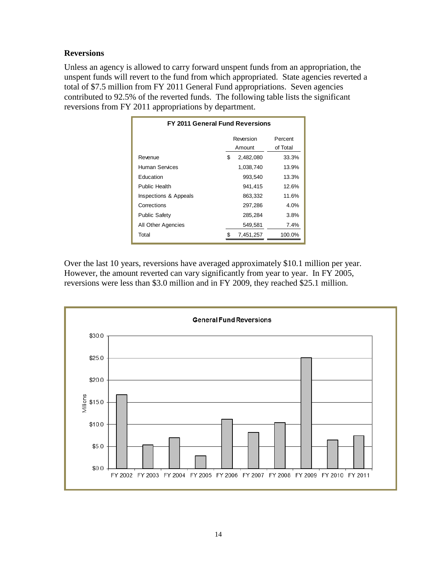### **Reversions**

Unless an agency is allowed to carry forward unspent funds from an appropriation, the unspent funds will revert to the fund from which appropriated. State agencies reverted a total of \$7.5 million from FY 2011 General Fund appropriations. Seven agencies contributed to 92.5% of the reverted funds. The following table lists the significant reversions from FY 2011 appropriations by department.

| <b>FY 2011 General Fund Reversions</b> |    |                     |                     |  |  |  |  |  |  |
|----------------------------------------|----|---------------------|---------------------|--|--|--|--|--|--|
|                                        |    | Reversion<br>Amount | Percent<br>of Total |  |  |  |  |  |  |
| Revenue                                | \$ | 2,482,080           | 33.3%               |  |  |  |  |  |  |
| Human Services                         |    | 1,038,740           | 13.9%               |  |  |  |  |  |  |
| Education                              |    | 993,540             | 13.3%               |  |  |  |  |  |  |
| Public Health                          |    | 941,415             | 12.6%               |  |  |  |  |  |  |
| Inspections & Appeals                  |    | 863,332             | 11.6%               |  |  |  |  |  |  |
| Corrections                            |    | 297,286             | 4.0%                |  |  |  |  |  |  |
| <b>Public Safety</b>                   |    | 285,284             | 3.8%                |  |  |  |  |  |  |
| All Other Agencies                     |    | 549,581             | 7.4%                |  |  |  |  |  |  |
| Total                                  |    | 7,451,257           | 100.0%              |  |  |  |  |  |  |

Over the last 10 years, reversions have averaged approximately \$10.1 million per year. However, the amount reverted can vary significantly from year to year. In FY 2005, reversions were less than \$3.0 million and in FY 2009, they reached \$25.1 million.

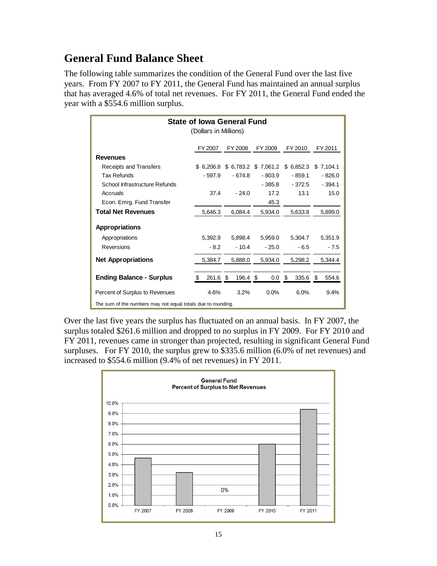# **General Fund Balance Sheet**

The following table summarizes the condition of the General Fund over the last five years. From FY 2007 to FY 2011, the General Fund has maintained an annual surplus that has averaged 4.6% of total net revenues. For FY 2011, the General Fund ended the year with a \$554.6 million surplus.

| <b>State of lowa General Fund</b><br>(Dollars in Millions)   |                |            |             |           |            |  |  |  |  |  |  |  |
|--------------------------------------------------------------|----------------|------------|-------------|-----------|------------|--|--|--|--|--|--|--|
|                                                              | FY 2007        | FY 2008    | FY 2009     | FY 2010   | FY 2011    |  |  |  |  |  |  |  |
| <b>Revenues</b>                                              |                |            |             |           |            |  |  |  |  |  |  |  |
| Receipts and Transfers                                       | \$6.206.8      | \$ 6,783.2 | \$7,061.2   | \$6,852.3 | \$7,104.1  |  |  |  |  |  |  |  |
| Tax Refunds                                                  | $-597.9$       | $-674.8$   | $-803.9$    | $-859.1$  | $-826.0$   |  |  |  |  |  |  |  |
| School Infrastructure Refunds                                |                |            | $-385.8$    | - 372.5   | $-394.1$   |  |  |  |  |  |  |  |
| Accruals                                                     | 37.4           | $-24.0$    | 17.2        | 13.1      | 15.0       |  |  |  |  |  |  |  |
| Econ. Emrg. Fund Transfer                                    |                |            | 45.3        |           |            |  |  |  |  |  |  |  |
| <b>Total Net Revenues</b>                                    | 5,646.3        | 6,084.4    | 5,934.0     | 5,633.8   | 5,899.0    |  |  |  |  |  |  |  |
| <b>Appropriations</b>                                        |                |            |             |           |            |  |  |  |  |  |  |  |
| Appropriations                                               | 5,392.9        | 5,898.4    | 5,959.0     | 5,304.7   | 5,351.9    |  |  |  |  |  |  |  |
| Reversions                                                   | $-8.2$         | $-10.4$    | $-25.0$     | $-6.5$    | $-7.5$     |  |  |  |  |  |  |  |
| <b>Net Appropriations</b>                                    | 5,384.7        | 5,888.0    | 5,934.0     | 5,298.2   | 5,344.4    |  |  |  |  |  |  |  |
| <b>Ending Balance - Surplus</b>                              | \$<br>261.6 \$ | 196.4 \$   | $0.0 \,$ \$ | 335.6     | 554.6<br>S |  |  |  |  |  |  |  |
| Percent of Surplus to Revenues                               | 4.6%           | 3.2%       | 0.0%        | 6.0%      | 9.4%       |  |  |  |  |  |  |  |
| The sum of the numbers may not equal totals due to rounding. |                |            |             |           |            |  |  |  |  |  |  |  |

Over the last five years the surplus has fluctuated on an annual basis. In FY 2007, the surplus totaled \$261.6 million and dropped to no surplus in FY 2009. For FY 2010 and FY 2011, revenues came in stronger than projected, resulting in significant General Fund surpluses. For FY 2010, the surplus grew to \$335.6 million (6.0% of net revenues) and increased to \$554.6 million (9.4% of net revenues) in FY 2011.

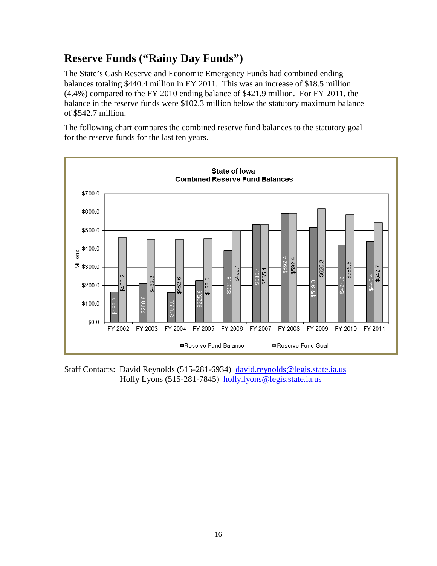# **Reserve Funds ("Rainy Day Funds")**

The State's Cash Reserve and Economic Emergency Funds had combined ending balances totaling \$440.4 million in FY 2011. This was an increase of \$18.5 million (4.4%) compared to the FY 2010 ending balance of \$421.9 million. For FY 2011, the balance in the reserve funds were \$102.3 million below the statutory maximum balance of \$542.7 million.

The following chart compares the combined reserve fund balances to the statutory goal for the reserve funds for the last ten years.



Staff Contacts: David Reynolds (515-281-6934) [david.reynolds@legis.state.ia.us](mailto:david.reynolds@legis.state.ia.us) Holly Lyons (515-281-7845) [holly.lyons@legis.state.ia.us](mailto:holly.lyons@legis.state.ia.us)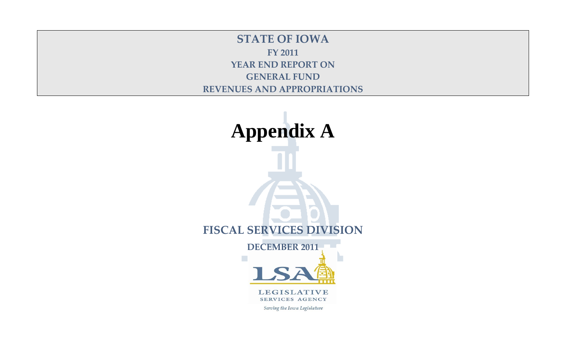**STATE OF IOWA FY 2011 YEAR END REPORT ON GENERAL FUND REVENUES AND APPROPRIATIONS**

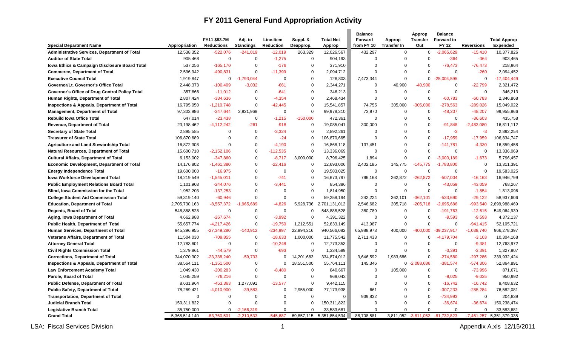# **FY 2011 General Fund Appropriation Activity**

 $\overline{\phantom{a}}$ 

|                                                       |                             |                                   |                              |                               |                       |                                        | <b>Balance</b>        |                              | Approp                  | <b>Balance</b>                    |                       |                                 |
|-------------------------------------------------------|-----------------------------|-----------------------------------|------------------------------|-------------------------------|-----------------------|----------------------------------------|-----------------------|------------------------------|-------------------------|-----------------------------------|-----------------------|---------------------------------|
| <b>Special Department Name</b>                        | Appropriation               | FY11 \$83.7M<br><b>Reductions</b> | Adj. to<br><b>Standings</b>  | Line-Item<br><b>Reduction</b> | Suppl. &<br>Deapprop. | <b>Total Net</b><br>Approp             | Forward<br>from FY 10 | Approp<br><b>Transfer In</b> | <b>Transfer</b><br>Out  | <b>Forward to</b><br><b>FY 12</b> | <b>Reversions</b>     | <b>Total Approp</b><br>Expended |
| Administrative Services, Department of Total          | 12,538,352                  | $-522.076$                        | $-241,019$                   | $-12,019$                     | 263,329               | 12,026,567                             | 432,297               | $\mathbf 0$                  | $\mathbf 0$             | $-2,065,629$                      | $-15,410$             | 10,377,826                      |
| <b>Auditor of State Total</b>                         | 905,468                     | $\mathbf 0$                       | $\Omega$                     | $-1,275$                      | $\mathbf 0$           | 904,193                                | $\Omega$              | $\mathbf 0$                  | $\Omega$                | $-364$                            | $-364$                | 903,465                         |
| Iowa Ethics & Campaign Disclosure Board Total         | 537,256                     | $-165,170$                        | $\Omega$                     | $-176$                        | 0                     | 371,910                                | $\Omega$              | $\Omega$                     | $\Omega$                | $-76,473$                         | $-76,473$             | 218,964                         |
| <b>Commerce, Department of Total</b>                  | 2,596,942                   | $-490,831$                        | $\Omega$                     | $-11,399$                     | $\Omega$              | 2,094,712                              | $\Omega$              | $\Omega$                     | $\Omega$                | $\mathbf 0$                       | $-260$                | 2,094,452                       |
| <b>Executive Council Total</b>                        | 1,919,847                   | 0                                 | $-1,793,044$                 | $\Omega$                      | $\Omega$              | 126,803                                | 7,473,344             | $\mathbf 0$                  | $\mathbf 0$             | $-25,004,595$                     | $\mathbf 0$           | $-17,404,449$                   |
| Governor/Lt. Governor's Office Total                  | 2,448,373                   | $-100,409$                        | $-3,032$                     | $-661$                        | $\Omega$              | 2,344,271                              | $\Omega$              | 40,900                       | $-40,900$               | $\mathbf 0$                       | $-22,799$             | 2,321,472                       |
| Governor's Office of Drug Control Policy Total        | 357,866                     | $-11,012$                         | $\Omega$                     | $-641$                        | $\Omega$              | 346,213                                | $\Omega$              | $\mathbf 0$                  | $\mathbf 0$             | $\mathbf 0$                       | $\mathbf 0$           | 346,213                         |
| Human Rights, Department of Total                     | 2,807,424                   | $-334,636$                        | $\Omega$                     | $-4,354$                      | $\Omega$              | 2,468,434                              | $\mathbf 0$           | $\mathbf 0$                  | $\mathbf 0$             | $-60,783$                         | $-60,783$             | 2,346,868                       |
| Inspections & Appeals, Department of Total            | 16,795,050                  | $-1,210,748$                      | $\Omega$                     | $-42,445$                     | $\Omega$              | 15,541,857                             | 74,755                | 305,000                      | $-305,000$              | -278,563                          | $-289,026$            | 15,049,022                      |
| <b>Management, Department of Total</b>                | 97,303,986                  | $-247,644$                        | 2,921,968                    | $\Omega$                      | $\Omega$              | 99,978,310                             | 73,970                | $\mathbf 0$                  | $\mathbf 0$             | $-48,207$                         | $-48,207$             | 99,955,866                      |
| <b>Rebuild lowa Office Total</b>                      | 647,014                     | $-23,438$                         | $\Omega$                     | $-1,215$                      | $-150,000$            | 472,361                                | $\Omega$              | $\Omega$                     | $\mathbf 0$             | $\mathbf 0$                       | $-36,603$             | 435,758                         |
| <b>Revenue, Department of Total</b>                   | 23,198,462                  | $-4,112,242$                      | $-261$                       | $-918$                        | $\Omega$              | 19,085,041                             | 300,000               | $\Omega$                     | $\mathbf 0$             | $-91,848$                         | $-2,482,080$          | 16,811,112                      |
| <b>Secretary of State Total</b>                       | 2,895,585                   | $\Omega$                          | $\Omega$                     | $-3,324$                      | $\Omega$              | 2,892,261                              | $\Omega$              | $\mathbf 0$                  | $\Omega$                | $-3$                              | $-3$                  | 2,892,254                       |
| <b>Treasurer of State Total</b>                       | 106,870,689                 | $\Omega$                          | $\Omega$                     | $-24$                         | $\Omega$              | 106,870,665                            | $\Omega$              | $\Omega$                     | $\Omega$                | $-17,959$                         | $-17,959$             | 106,834,747                     |
| <b>Agriculture and Land Stewardship Total</b>         | 16,872,308                  | $\Omega$                          | $\Omega$                     | $-4,190$                      | $\Omega$              | 16,868,118                             | 137,451               | $\Omega$                     | $\mathbf 0$             | $-141,781$                        | $-4,330$              | 16,859,458                      |
| Natural Resources, Department of Total                | 15,600,710                  | $-2,152,106$                      | $\Omega$                     | $-112.535$                    | $\Omega$              | 13,336,069                             | $\Omega$              | $\Omega$                     | $\Omega$                | $\Omega$                          | $\mathbf 0$           | 13,336,069                      |
| <b>Cultural Affairs, Department of Total</b>          | 6,153,002                   | $-347,860$                        | $\Omega$                     | $-8.717$                      | 3,000,000             | 8,796,425                              | 1.894                 | $\Omega$                     | $\Omega$                | $-3.000.189$                      | $-1.673$              | 5,796,457                       |
| <b>Economic Development, Department of Total</b>      | 14,176,802                  | $-1,461,380$                      | $\Omega$                     | $-22,416$                     | $\Omega$              | 12,693,006                             | 2,402,185             | 145,775                      | $-145,775$              | $-1.783.800$                      | $\mathbf 0$           | 13,311,391                      |
| <b>Energy Independence Total</b>                      | 19,600,000                  | $-16,975$                         | $\Omega$                     | $\Omega$                      | $\Omega$              | 19,583,025                             | $\mathbf 0$           | $\mathbf 0$                  | $\Omega$                | $\mathbf 0$                       | $\mathbf 0$           | 19,583,025                      |
| <b>Iowa Workforce Development Total</b>               | 18,219,549                  | $-1,545,011$                      | $\Omega$                     | $-741$                        | $\Omega$              | 16,673,797                             | 796,168               | 262.872                      | $-262.872$              | $-507,004$                        | $-16,163$             | 16,946,799                      |
| <b>Public Employment Relations Board Total</b>        | 1,101,903                   | $-244,076$                        | $\Omega$                     | $-3.441$                      | $\Omega$              | 854,386                                | $\mathbf 0$           | $\mathbf 0$                  | $\Omega$                | $-43,059$                         | $-43,059$             | 768,267                         |
| Blind, Iowa Commission for the Total                  | 1,952,203                   | $-137,253$                        | $\Omega$                     | $\Omega$                      | $\Omega$              | 1,814,950                              | $\mathbf 0$           | $\Omega$                     | $\mathbf 0$             | $\mathbf 0$                       | $-1,854$              | 1,813,096                       |
| <b>College Student Aid Commission Total</b>           | 59,319,140                  | $-60,946$                         | $\Omega$                     | $\Omega$                      | $\Omega$              | 59,258,194                             | 242,224               | 362,101                      | $-362,101$              | $-533,690$                        | $-29,122$             | 58,937,606                      |
| <b>Education, Department of Total</b>                 | 2,705,730,163               | $-8,557,372$                      | $-1,965,689$                 | $-4.826$                      | 5,928,736             | 2,701,131,012                          | 2,546,682             | 205,718                      | $-205,718$              | $-2,695,686$                      | $-993,540$            | 2,699,988,469                   |
| <b>Regents, Board of Total</b>                        | 548,888,528                 | $\Omega$                          | $\Omega$                     | $\Omega$                      | $\Omega$              | 548,888,528                            | 380,789               | $\Omega$                     | $\mathbf 0$             | $-191,763$                        | $-12,615$             | 549,064,939                     |
| Aging, Iowa Department of Total                       | 4,662,988                   | $-267,674$                        | $\mathbf 0$                  | $-3,992$                      | $\Omega$              | 4,391,322                              | $\mathbf 0$           | $\mathbf 0$                  | $\mathbf 0$             | $-9,593$                          | $-9,593$              | 4,372,137                       |
| Public Health, Department of Total                    | 55,657,774                  | $-4,217,426$                      | $\Omega$                     | $-19,750$                     | 1,212,551             | 52,633,149                             | 413,987               | $\Omega$                     | $\mathbf 0$             | $\Omega$                          | $-941,415$            | 52,105,721                      |
| Human Services, Department of Total                   | 945,396,955                 | $-27,349,280$                     | $-140,912$                   | $-234,997$                    | 22,894,316            | 940,566,082                            | 65,988,973            | 400,000                      | $-400.000$              | $-39,237,917$                     | $-1,038,740$          | 966,278,397                     |
| Veterans Affairs, Department of Total                 | 11,504,030                  | $-709,855$                        | $\Omega$                     | $-18,633$                     | 1,000,000             | 11,775,542                             | 2,711,433             | $\overline{0}$               | 0                       | $-4,179,704$                      | $-3,103$              | 10,304,168                      |
| <b>Attorney General Total</b>                         | 12,783,601                  | $\mathbf 0$                       | $\Omega$                     | $-10,248$                     | $\mathbf 0$           | 12,773,353                             | $\overline{0}$        | $\Omega$                     | $\Omega$                | $\mathbf 0$                       | $-9,381$              | 12,763,972                      |
| <b>Civil Rights Commission Total</b>                  | 1,379,861                   | $-44,579$                         | $\Omega$                     | $-693$                        | $\Omega$              | 1,334,589                              | $\Omega$              | $\Omega$                     | $\Omega$                | $-3,391$                          | $-3,391$              | 1,327,807                       |
| <b>Corrections, Department of Total</b>               | 344,070,302                 | $-23,338,240$                     | $-59,733$                    | $\Omega$                      | 14,201,683            | 334,874,012                            | 3,646,592             | 1,983,686                    | $\mathbf 0$             | $-274,580$                        | $-297,286$            | 339,932,424                     |
| Inspections & Appeals, Department of Total            | 38,564,111                  | $-1,351,500$                      | $\Omega$                     | $\Omega$                      | 18,551,500            | 55,764,111                             | 145,346               |                              | $0 -2,088,686$          | $-381,574$                        | $-574,306$            | 52,864,891                      |
| <b>Law Enforcement Academy Total</b>                  | 1,049,430                   | $-200,283$                        | $\Omega$                     | $-8,480$                      | $\mathbf 0$           | 840,667                                | $\mathbf 0$           | 105,000                      | $\mathbf 0$             | $\mathbf 0$                       | $-73,996$             | 871,671                         |
| Parole, Board of Total                                | 1,045,259                   | $-76,216$                         | $\Omega$                     | $\Omega$                      | $\Omega$              | 969,043                                | $\Omega$              | $\Omega$                     | $\mathbf 0$             | $-9,025$                          | $-9,025$              | 950,992                         |
| <b>Public Defense, Department of Total</b>            | 8,631,964                   | $-453,363$                        | 1,277,091                    | $-13,577$                     | $\mathbf 0$           | 9,442,115                              | $\Omega$              | $\mathbf 0$                  | $\mathbf 0$             | $-16,742$                         | $-16,742$             | 9,408,632                       |
| <b>Public Safety, Department of Total</b>             | 78,269,421                  | $-4,010,900$                      | $-39,583$                    | $\Omega$                      | 2,955,000             | 77,173,938                             | 661                   | $\Omega$                     | $\mathbf 0$             | $-307,233$                        | $-285,284$            | 76,582,081                      |
| <b>Transportation, Department of Total</b>            | $\mathbf 0$                 | $\mathbf 0$                       | $\Omega$<br>$\Omega$         | $\Omega$<br>$\Omega$          | $\Omega$              | $\overline{0}$                         | 939,832               | $\mathbf 0$<br>$\Omega$      | $\mathbf 0$             | $-734,993$                        | $\mathbf 0$           | 204,839                         |
| <b>Judicial Branch Total</b>                          | 150,311,822                 | $\Omega$                          |                              |                               | $\Omega$              | 150,311,822                            | $\Omega$<br>$\Omega$  | $\Omega$                     | $\mathbf 0$<br>$\Omega$ | $-36,674$                         | $-36,674$<br>$\Omega$ | 150,238,474                     |
| <b>Legislative Branch Total</b><br><b>Grand Total</b> | 35,750,000<br>5,368,514,140 | 0<br>$-83,760,501$                | $-2,166,319$<br>$-2.210.533$ | $\Omega$<br>$-545.687$        | $\Omega$              | 33,583,681<br>69,857,115 5,351,854,534 | 88,708,581            | 3,811,052                    | $-3,811,052$            | $\Omega$<br>$-81.732.823$         | $-7.451.257$          | 33,583,681<br>5,351,379,035     |
|                                                       |                             |                                   |                              |                               |                       |                                        |                       |                              |                         |                                   |                       |                                 |

LSA: Fiscal Services Division **1** and the service of the services of the services Division **1** Appendix A.xls 12/15/2011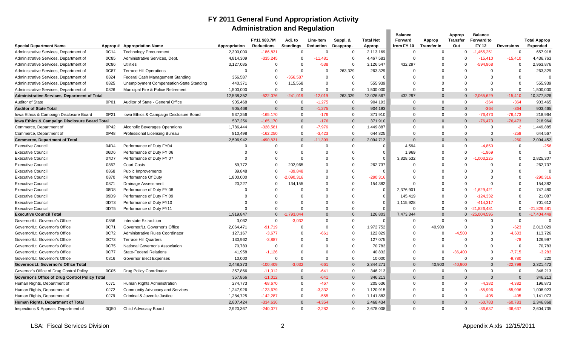### **FY 2011 General Fund Appropriation Activity Administration and Regulation**

|                                                       |         |                                          |               | <b>Administration and Regulation</b> |                             |                                      |                       |                            |                                         |                              |                                  |                                                    |                   |                                        |
|-------------------------------------------------------|---------|------------------------------------------|---------------|--------------------------------------|-----------------------------|--------------------------------------|-----------------------|----------------------------|-----------------------------------------|------------------------------|----------------------------------|----------------------------------------------------|-------------------|----------------------------------------|
| <b>Special Department Name</b>                        | Approp# | <b>Appropriation Name</b>                | Appropriation | FY11 \$83.7M<br><b>Reductions</b>    | Adj. to<br><b>Standings</b> | <b>Line-Item</b><br><b>Reduction</b> | Suppl. &<br>Deapprop. | <b>Total Net</b><br>Approp | <b>Balance</b><br>Forward<br>from FY 10 | Approp<br><b>Transfer In</b> | Approp<br><b>Transfer</b><br>Out | <b>Balance</b><br><b>Forward to</b><br><b>FY12</b> | <b>Reversions</b> | <b>Total Approp</b><br><b>Expended</b> |
| Administrative Services, Department of                | 0C14    | <b>Technology Procurement</b>            | 2,300,000     | 186,831                              | $\Omega$                    | $\Omega$                             | $\mathbf 0$           | 2,113,169                  | $\Omega$                                | $\Omega$                     | $\Omega$                         | $-1,455,251$                                       | $\Omega$          | 657,918                                |
| Administrative Services, Department of                | 0C85    | Administrative Services, Dept.           | 4,814,309     | $-335,245$                           | $\Omega$                    | $-11,481$                            | $\Omega$              | 4,467,583                  | $\Omega$                                | $\Omega$                     | $\Omega$                         | $-15,410$                                          | $-15,410$         | 4,436,763                              |
| Administrative Services, Department of                | 0C86    | <b>Utilities</b>                         | 3,127,085     | 0                                    | $\Omega$                    | $-538$                               | $\Omega$              | 3,126,547                  | 432.297                                 | $\Omega$                     | $\Omega$                         | $-594,968$                                         | $\Omega$          | 2,963,876                              |
| Administrative Services, Department of                | 0C87    | <b>Terrace Hill Operations</b>           | $\Omega$      | 0                                    | $\Omega$                    | $\Omega$                             | 263,329               | 263,329                    | $\Omega$                                | $\Omega$                     | $\Omega$                         | $\Omega$                                           | $\Omega$          | 263,329                                |
| Administrative Services, Department of                | 0824    | Federal Cash Management Standing         | 356,587       | $\mathbf 0$                          | -356.587                    | $\Omega$                             | $\Omega$              | $\Omega$                   | $\Omega$                                | $\Omega$                     | $\Omega$                         | $\Omega$                                           | $\Omega$          | $\Omega$                               |
| Administrative Services, Department of                | 0825    | Unemployment Compensation-State Standing | 440,371       | $\mathbf 0$                          | 115,568                     | $\Omega$                             | $\Omega$              | 555,939                    | $\Omega$                                | $\Omega$                     | $\Omega$                         | $\Omega$                                           | $\Omega$          | 555,939                                |
| Administrative Services, Department of                | 0826    | Municipal Fire & Police Retirement       | 1,500,000     | $\Omega$                             | $\Omega$                    | $\Omega$                             | $\Omega$              | 1,500,000                  | $\Omega$                                | $\Omega$                     | $\Omega$                         | $\Omega$                                           | $\mathbf 0$       | 1,500,000                              |
| <b>Administrative Services, Department of Total</b>   |         |                                          | 12,538,352    | $-522,076$                           | $-241.019$                  | $-12,019$                            | 263,329               | 12,026,567                 | 432,297                                 | $\Omega$                     | 0                                | $-2,065,629$                                       | $-15,410$         | 10,377,826                             |
| <b>Auditor of State</b>                               | 0P01    | Auditor of State - General Office        | 905,468       | $\mathbf 0$                          | $\Omega$                    | $-1,275$                             | $\mathbf 0$           | 904,193                    | $\Omega$                                | $\Omega$                     | $\Omega$                         | $-364$                                             | $-364$            | 903,465                                |
| <b>Auditor of State Total</b>                         |         |                                          | 905,468       | $\Omega$                             | $\Omega$                    | $-1,275$                             | $\Omega$              | 904,193                    | $\Omega$                                | $\Omega$                     | $\Omega$                         | $-364$                                             | $-364$            | 903,465                                |
| Iowa Ethics & Campaign Disclosure Board               | 0P21    | Iowa Ethics & Campaign Disclosure Board  | 537,256       | $-165,170$                           | $\Omega$                    | $-176$                               | $\Omega$              | 371,910                    | $\Omega$                                | $\Omega$                     | $\Omega$                         | $-76,473$                                          | $-76,473$         | 218,964                                |
| Iowa Ethics & Campaign Disclosure Board Total         |         |                                          | 537,256       | $-165,170$                           | $\mathbf{0}$                | $-176$                               | $\Omega$              | 371,910                    | $\Omega$                                | $\Omega$                     | $\Omega$                         | $-76,473$                                          | $-76,473$         | 218,964                                |
| Commerce, Department of                               | 0P42    | <b>Alcoholic Beverages Operations</b>    | 1,786,444     | $-328,581$                           | 0                           | $-7,976$                             | $\mathbf 0$           | 1,449,887                  | $\Omega$                                | $\Omega$                     | $\Omega$                         | $\mathbf 0$                                        | $-2$              | 1,449,885                              |
| Commerce, Department of                               | 0P48    | Professional Licensing Bureau            | 810,498       | $-162,250$                           | $\Omega$                    | $-3,423$                             | $\mathbf 0$           | 644,825                    | $\Omega$                                | $\Omega$                     | $\mathbf 0$                      | $\mathbf 0$                                        | $-258$            | 644,567                                |
| <b>Commerce, Department of Total</b>                  |         |                                          | 2,596,942     | $-490,831$                           | $\Omega$                    | $-11,399$                            | $\Omega$              | 2,094,712                  | $\Omega$                                | $\Omega$                     | $\Omega$                         | $\Omega$                                           | $-260$            | 2,094,452                              |
| <b>Executive Council</b>                              | 04D4    | Performance of Duty FY04                 | $\Omega$      | $\mathbf 0$                          | 0                           | $\Omega$                             | $\Omega$              |                            | 4,594                                   | $\Omega$                     | $\Omega$                         | $-4,850$                                           | $\mathbf 0$       | $-256$                                 |
| <b>Executive Council</b>                              | 06D6    | Performance of Duty FY 06                | $\Omega$      | $\Omega$                             | $\Omega$                    | $\Omega$                             | $\Omega$              |                            | 1,969                                   | $\Omega$                     | $\Omega$                         | $-1,969$                                           | $\Omega$          | $\Omega$                               |
| <b>Executive Council</b>                              | 07D7    | Performance of Duty FY 07                | $\Omega$      | $\Omega$                             | $\Omega$                    | O                                    | $\Omega$              |                            | 3,828,532                               | $\Omega$                     | $\Omega$                         | ,003,225                                           | $\Omega$          | 2,825,307                              |
| <b>Executive Council</b>                              | 0867    | <b>Court Costs</b>                       | 59,772        | $\mathbf 0$                          | 202,965                     | 0                                    | $\Omega$              | 262,737                    | $\Omega$                                | $\Omega$                     | $\Omega$                         | $\Omega$                                           | $\Omega$          | 262,737                                |
| <b>Executive Council</b>                              | 0868    | <b>Public Improvements</b>               | 39,848        | $\Omega$                             | $-39.848$                   | $\Omega$                             | $\Omega$              |                            | $\Omega$                                | $\Omega$                     | $\Omega$                         | $\Omega$                                           | $\Omega$          | $\Omega$                               |
| <b>Executive Council</b>                              | 0870    | Performance Of Duty                      | 1,800,000     | $\mathbf 0$                          | $-2,090,316$                | $\Omega$                             | $\Omega$              | $-290,316$                 | $\Omega$                                | $\Omega$                     | $\Omega$                         | $\Omega$                                           | $\Omega$          | $-290,316$                             |
| <b>Executive Council</b>                              | 0871    | Drainage Assessment                      | 20,227        | $\Omega$                             | 134,155                     | O                                    | $\Omega$              | 154,382                    |                                         | $\Omega$                     | O                                | $\Omega$                                           | $\Omega$          | 154,382                                |
| <b>Executive Council</b>                              | 08D8    | Performance of Duty FY 08                | $\Omega$      | $\Omega$                             | $\Omega$                    | $\Omega$                             | $\Omega$              | $\Omega$                   | 2,376,901                               | $\Omega$                     | $\Omega$                         | $-1,629,421$                                       | $\Omega$          | 747,480                                |
| <b>Executive Council</b>                              | 09D9    | Performance of Duty FY 09                | $\Omega$      | $\Omega$                             | $\Omega$                    | $\Omega$                             | $\Omega$              |                            | 145,419                                 | $\Omega$                     | O                                | $-124,332$                                         | $\Omega$          | 21,087                                 |
| <b>Executive Council</b>                              | 0DT3    | Performance of Duty FY10                 | $\Omega$      | $\Omega$                             | $\Omega$                    | $\Omega$                             | $\Omega$              |                            | 1,115,928                               | $\Omega$                     | $\Omega$                         | $-414,317$                                         | $\Omega$          | 701,612                                |
| <b>Executive Council</b>                              | 0DT5    | Performance of Duty FY11                 | $\Omega$      | $\Omega$                             | $\Omega$                    | $\Omega$                             | $\Omega$              |                            | $\Omega$                                | $\Omega$                     |                                  | $0 -21,826,481$                                    | $\Omega$          | $-21,826,481$                          |
| <b>Executive Council Total</b>                        |         |                                          | 1,919,847     | $\Omega$                             | $-1,793,044$                | $\Omega$                             | $\Omega$              | 126,803                    | 7,473,344                               | $\Omega$                     | $\mathbf{0}$                     | $-25,004,595$                                      | $\Omega$          | $-17,404,449$                          |
| Governor/Lt. Governor's Office                        | 0856    | Interstate Extradition                   | 3,032         | $\mathbf 0$                          | $-3,032$                    | $\Omega$                             | $\Omega$              | $\Omega$                   | $\Omega$                                | $\Omega$                     | $\Omega$                         | $\mathbf 0$                                        | $\mathbf 0$       | $\Omega$                               |
| Governor/Lt. Governor's Office                        | 0C71    | Governor/Lt. Governor's Office           | 2,064,471     | $-91,719$                            | $\Omega$                    | $\Omega$                             | $\Omega$              | 1,972,752                  | $\Omega$                                | 40,900                       | $\Omega$                         | $\Omega$                                           | $-623$            | 2,013,029                              |
| Governor/Lt. Governor's Office                        | 0C72    | Administrative Rules Coordinator         | 127,167       | $-3,677$                             | $\Omega$                    | $-661$                               | $\Omega$              | 122,829                    | $\Omega$                                | $\Omega$                     | $-4,500$                         | $\Omega$                                           | $-4,603$          | 113,726                                |
| Governor/Lt. Governor's Office                        | 0C73    | <b>Terrace Hill Quarters</b>             | 130,962       | $-3,887$                             | $\Omega$                    | $\Omega$                             | $\Omega$              | 127,075                    | $\Omega$                                | $\Omega$                     | $\Omega$                         | $\Omega$                                           | $-78$             | 126,997                                |
| Governor/Lt. Governor's Office                        | 0C75    | National Governor's Association          | 70,783        | $\mathbf 0$                          | $\Omega$                    | $\Omega$                             | $\Omega$              | 70,783                     | $\Omega$                                | $\Omega$                     | $\Omega$                         | $\Omega$                                           | $\mathbf 0$       | 70,783                                 |
| Governor/Lt. Governor's Office                        | 0C77    | <b>State-Federal Relations</b>           | 41,958        | $-1,126$                             | $\Omega$                    | O                                    | $\Omega$              | 40,832                     | $\Omega$                                | $\Omega$                     | $-36,400$                        | $\Omega$                                           | $-7,715$          | $-3,283$                               |
| Governor/Lt. Governor's Office                        | 0816    | <b>Governor Elect Expenses</b>           | 10,000        | $\Omega$                             | $\Omega$                    | $\Omega$                             | $\Omega$              | 10,000                     | $\Omega$                                | $\Omega$                     | $\Omega$                         | $\Omega$                                           | $-9,780$          | 220                                    |
| Governor/Lt. Governor's Office Total                  |         |                                          | 2,448,373     | $-100,409$                           | $-3.032$                    | $-661$                               | $\Omega$              | 2,344,271                  | $\Omega$                                | 40.900                       | $-40.900$                        | $\Omega$                                           | $-22,799$         | 2,321,472                              |
| Governor's Office of Drug Control Policy              | 0C05    | Drug Policy Coordinator                  | 357,866       | $-11,012$                            | $\Omega$                    | $-641$                               | $\mathbf 0$           | 346,213                    | $\Omega$                                | $\Omega$                     | $\Omega$                         | $\mathbf 0$                                        | $\mathbf 0$       | 346,213                                |
| <b>Governor's Office of Drug Control Policy Total</b> |         |                                          | 357,866       | $-11,012$                            | $\Omega$                    | $-641$                               | $\Omega$              | 346,213                    | $\Omega$                                | $\Omega$                     | $\Omega$                         | $\Omega$                                           | $\Omega$          | 346,213                                |
| Human Rights, Department of                           | 0J71    | Human Rights Administration              | 274,773       | $-68,670$                            | 0                           | $-467$                               | $\mathbf 0$           | 205,636                    | $\Omega$                                | $\Omega$                     | $\mathbf 0$                      | $-4,382$                                           | $-4,382$          | 196,873                                |
| Human Rights, Department of                           | 0J72    | Community Advocacy and Services          | 1,247,926     | $-123,679$                           | $\Omega$                    | $-3,332$                             | $\Omega$              | 1,120,915                  | $\Omega$                                | $\Omega$                     | $\Omega$                         | $-55,996$                                          | $-55,996$         | 1,008,923                              |
| Human Rights, Department of                           | 0J79    | Criminal & Juvenile Justice              | 1,284,725     | $-142,287$                           | $\Omega$                    | $-555$                               | $\Omega$              | 1,141,883                  | $\Omega$                                | $\Omega$                     | $\Omega$                         | $-405$                                             | $-405$            | 1,141,073                              |
| Human Rights, Department of Total                     |         |                                          | 2,807,424     | $-334,636$                           | $\Omega$                    | $-4.354$                             | $\Omega$              | 2,468,434                  | $\Omega$                                | $\Omega$                     | $\sqrt{ }$                       | $-60,783$                                          | $-60,783$         | 2,346,868                              |
| Inspections & Appeals, Department of                  | 0Q50    | Child Advocacy Board                     | 2,920,367     | $-240,077$                           | $\Omega$                    | $-2,282$                             | $\mathbf 0$           | 2,678,008                  | $\Omega$                                | $\Omega$                     | $\Omega$                         | $-36,637$                                          | $-36,637$         | 2,604,735                              |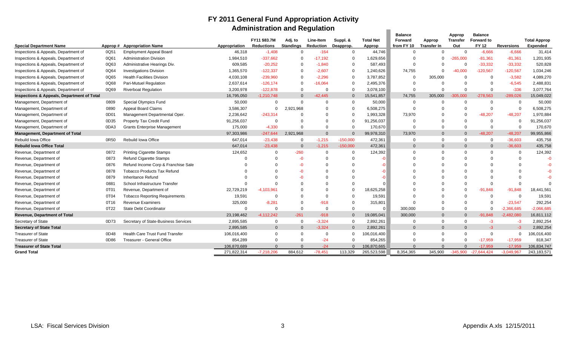### **FY 2011 General Fund Appropriation Activity Administration and Regulation**

|                                            |      |                                       |               | Administration and Regulation     |                             |                        |                       |                            |                                         |                              |                           |                                                     |                   |                                        |
|--------------------------------------------|------|---------------------------------------|---------------|-----------------------------------|-----------------------------|------------------------|-----------------------|----------------------------|-----------------------------------------|------------------------------|---------------------------|-----------------------------------------------------|-------------------|----------------------------------------|
| <b>Special Department Name</b>             |      | Approp# Appropriation Name            | Appropriation | FY11 \$83.7M<br><b>Reductions</b> | Adj. to<br><b>Standings</b> | Line-Item<br>Reduction | Suppl. &<br>Deapprop. | <b>Total Net</b><br>Approp | <b>Balance</b><br>Forward<br>from FY 10 | Approp<br><b>Transfer In</b> | Approp<br>Transfer<br>Out | <b>Balance</b><br><b>Forward to</b><br><b>FY 12</b> | <b>Reversions</b> | <b>Total Approp</b><br><b>Expended</b> |
| Inspections & Appeals, Department of       | 0Q51 | <b>Employment Appeal Board</b>        | 46,318        | $-1,408$                          | $\Omega$                    | $-164$                 | $\Omega$              | 44,746                     | $\Omega$                                | $\Omega$                     | $\Omega$                  | $-6,666$                                            | $-6,666$          | 31,414                                 |
| Inspections & Appeals, Department of       | 0Q61 | <b>Administration Division</b>        | 1,984,510     | $-337,662$                        |                             | $-17,192$              |                       | 1,629,656                  | $\Omega$                                | $\Omega$                     | $-265,000$                | $-81,361$                                           | $-81,361$         | 1,201,935                              |
| Inspections & Appeals, Department of       | 0Q63 | Administrative Hearings Div.          | 609,585       | $-20,252$                         |                             | $-1,840$               | $\Omega$              | 587,493                    | $\Omega$                                | $\Omega$                     | $\Omega$                  | $-33,332$                                           | $-33,332$         | 520,828                                |
| Inspections & Appeals, Department of       | 0Q64 | <b>Investigations Division</b>        | 1,365,570     | $-122,337$                        |                             | $-2,607$               | $\Omega$              | 1,240,626                  | 74,755                                  | $\Omega$                     | $-40,000$                 | $-120,567$                                          | $-120,567$        | 1,034,246                              |
| Inspections & Appeals, Department of       | 0Q65 | <b>Health Facilities Division</b>     | 4,030,108     | $-239,960$                        |                             | $-2,296$               | $\Omega$              | 3,787,852                  | $\Omega$                                | 305,000                      | $\Omega$                  | $\Omega$                                            | $-3,582$          | 4,089,270                              |
| Inspections & Appeals, Department of       | 0Q68 | Pari-Mutuel Regulation                | 2,637,614     | $-126,174$                        |                             | $-16,064$              | $\Omega$              | 2,495,376                  | $\Omega$                                | $\Omega$                     | $\Omega$                  | $\Omega$                                            | $-6,545$          | 2,488,831                              |
| Inspections & Appeals, Department of       | 0Q69 | <b>Riverboat Regulation</b>           | 3,200,978     | $-122,878$                        |                             | $\Omega$               | $\Omega$              | 3,078,100                  | $\Omega$                                | $\Omega$                     | $\Omega$                  | $\Omega$                                            | $-336$            | 3,077,764                              |
| Inspections & Appeals, Department of Total |      |                                       | 16,795,050    | $-1,210,748$                      | $\Omega$                    | $-42,445$              | $\mathbf{0}$          | 15,541,857                 | 74,755                                  | 305,000                      | $-305,000$                | $-278,563$                                          | $-289,026$        | 15,049,022                             |
| Management, Department of                  | 0809 | Special Olympics Fund                 | 50,000        | $\Omega$                          | $\Omega$                    | $\Omega$               | $\Omega$              | 50,000                     | $\Omega$                                | $\Omega$                     | $\Omega$                  | $\Omega$                                            | $\mathbf 0$       | 50,000                                 |
| Management, Department of                  | 0890 | <b>Appeal Board Claims</b>            | 3,586,307     | $\Omega$                          | 2,921,968                   | $\Omega$               | $\Omega$              | 6,508,275                  | $\Omega$                                | $\Omega$                     |                           | $\Omega$                                            | $\mathbf 0$       | 6,508,275                              |
| Management, Department of                  | 0D0' | Management Departmental Oper.         | 2,236,642     | $-243,314$                        |                             | $\Omega$               | $\Omega$              | 1,993,328                  | 73,970                                  | $\Omega$                     | $\Omega$                  | $-48,207$                                           | $-48,207$         | 1,970,884                              |
| Management, Department of                  | 0D35 | Property Tax Credit Fund              | 91,256,037    | $\Omega$                          |                             |                        | $\Omega$              | 91,256,037                 | $\Omega$                                | $\Omega$                     | $\Omega$                  | $\Omega$                                            | $\Omega$          | 91,256,037                             |
| Management, Department of                  | 0DA3 | <b>Grants Enterprise Management</b>   | 175,000       | $-4,330$                          | $\Omega$                    | $\Omega$               | $\Omega$              | 170,670                    | $\Omega$                                | $\Omega$                     | $\Omega$                  | $\Omega$                                            | $\mathbf 0$       | 170,670                                |
| Management, Department of Total            |      |                                       | 97,303,986    | $-247,644$                        | 2,921,968                   | $\Omega$               | $\Omega$              | 99,978,310                 | 73,970                                  | $\Omega$                     | $\Omega$                  | $-48,207$                                           | $-48,207$         | 99,955,866                             |
| Rebuild Iowa Office                        | 0R50 | Rebuild Iowa Office                   | 647,014       | $-23,438$                         | $\Omega$                    | $-1,215$               | $-150,000$            | 472,361                    | $\Omega$                                | $\Omega$                     | $\Omega$                  | $\Omega$                                            | $-36,603$         | 435,758                                |
| <b>Rebuild lowa Office Total</b>           |      |                                       | 647,014       | $-23,438$                         | $\overline{0}$              | $-1,215$               | $-150,000$            | 472,361                    | $\Omega$                                | $\Omega$                     | $\Omega$                  | $\mathbf{0}$                                        | $-36,603$         | 435,758                                |
| Revenue, Department of                     | 0872 | <b>Printing Cigarette Stamps</b>      | 124,652       | $\mathbf 0$                       | $-260$                      | $\Omega$               | $\Omega$              | 124,392                    | $\Omega$                                | $\Omega$                     |                           | $\Omega$                                            | 0                 | 124,392                                |
| Revenue, Department of                     | 0873 | <b>Refund Cigarette Stamps</b>        |               |                                   |                             |                        |                       |                            |                                         |                              |                           |                                                     | $\Omega$          | $-0$                                   |
| Revenue, Department of                     | 0876 | Refund Income Corp & Franchise Sale   |               | $\Omega$                          |                             |                        |                       |                            |                                         |                              |                           |                                                     | $\Omega$          | $-0$                                   |
| Revenue, Department of                     | 0878 | <b>Tobacco Products Tax Refund</b>    |               |                                   |                             |                        |                       |                            |                                         |                              |                           |                                                     |                   | $-0$                                   |
| Revenue, Department of                     | 0879 | Inheritance Refund                    |               |                                   |                             |                        |                       |                            |                                         |                              |                           |                                                     | $\Omega$          | $-0$                                   |
| Revenue, Department of                     | 0881 | School Infrastructure Transfer        |               | $\Omega$                          |                             |                        |                       |                            |                                         |                              |                           | $\Omega$                                            | $\Omega$          |                                        |
| Revenue, Department of                     | 0T01 | Revenue, Department of                | 22,729,219    | $-4,103,961$                      |                             |                        | $\Omega$              | 18,625,258                 |                                         |                              | $\Omega$                  | $-91,848$                                           | $-91,848$         | 18,441,561                             |
| Revenue, Department of                     | 0T04 | <b>Tobacco Reporting Requirements</b> | 19,591        | $\Omega$                          |                             | $\Omega$               |                       | 19,591                     | $\Omega$                                |                              | $\Omega$                  | $\Omega$                                            | $\Omega$          | 19,591                                 |
| Revenue, Department of                     | 0T16 | <b>Revenue Examiners</b>              | 325,000       | $-8,281$                          | $\Omega$                    | $-918$                 | $\Omega$              | 315,801                    | $\Omega$                                | $\Omega$                     | $\Omega$                  | $\Omega$                                            | $-23,547$         | 292,254                                |
| Revenue, Department of                     | 0T22 | State Debt Coordinator                | $\Omega$      | $\Omega$                          | $\Omega$                    | $\Omega$               | $\Omega$              |                            | 300,000                                 | $\Omega$                     | $\Omega$                  | $\Omega$                                            | $-2,366,685$      | $-2,066,685$                           |
| <b>Revenue, Department of Total</b>        |      |                                       | 23,198,462    | $-4.112.242$                      | $-261$                      | $-918$                 | $\Omega$              | 19,085,041                 | 300,000                                 | $\Omega$                     | $\Omega$                  | $-91.848$                                           | $-2,482,080$      | 16,811,112                             |
| Secretary of State                         | 0D73 | Secretary of State-Business Services  | 2,895,585     | $\mathbf 0$                       | $\Omega$                    | $-3,324$               | $\Omega$              | 2,892,261                  | $\Omega$                                | $\Omega$                     | $\Omega$                  | -3                                                  | $-3$              | 2,892,254                              |
| <b>Secretary of State Total</b>            |      |                                       | 2,895,585     | $\mathbf 0$                       | $\Omega$                    | $-3,324$               | $\Omega$              | 2,892,261                  | $\Omega$                                | $\Omega$                     | $\Omega$                  | $-3$                                                | $-3$              | 2,892,254                              |
| <b>Treasurer of State</b>                  | 0D48 | Health Care Trust Fund Transfer       | 106,016,400   | $\mathbf 0$                       | $\Omega$                    | $\overline{0}$         | $\mathbf{0}$          | 106,016,400                | $\Omega$                                | $\Omega$                     | $\Omega$                  | $\Omega$                                            | $\mathbf 0$       | 106,016,400                            |
| <b>Treasurer of State</b>                  | 0D86 | Treasurer - General Office            | 854,289       | $\Omega$                          | $\Omega$                    | $-24$                  | $\Omega$              | 854,265                    | $\Omega$                                | $\Omega$                     | $\Omega$                  | $-17,959$                                           | $-17,959$         | 818,347                                |
| <b>Treasurer of State Total</b>            |      |                                       | 106,870,689   | $\Omega$                          |                             | $-24$                  | $\Omega$              | 106,870,665                | $\Omega$                                | $\Omega$                     |                           | $-17.959$                                           | $-17.959$         | 106,834,747                            |
| <b>Grand Total</b>                         |      |                                       | 271,822,314   | $-7,218,206$                      | 884,612                     | $-78.451$              | 113,329               | 265,523,598                | 8,354,365                               | 345,900                      | -345.900                  | $-27.644.424$                                       | -3.049.967        | 243,183,571                            |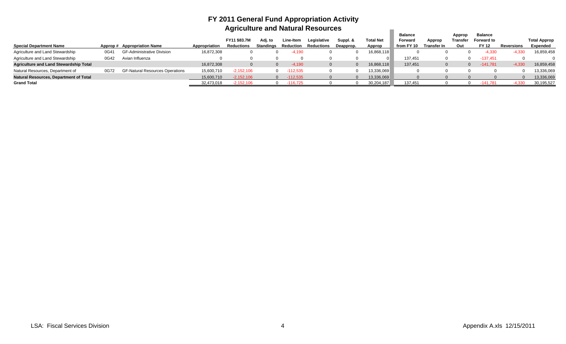### **FY 2011 General Fund Appropriation Activity Agriculture and Natural Resources**

|                                               |      |                                        |               | Adriculture and Natural Resources        |                      |                        |                           |                       |                            |                                                |                       |                           |                                                     |                   |                                 |
|-----------------------------------------------|------|----------------------------------------|---------------|------------------------------------------|----------------------|------------------------|---------------------------|-----------------------|----------------------------|------------------------------------------------|-----------------------|---------------------------|-----------------------------------------------------|-------------------|---------------------------------|
| <b>Special Department Name</b>                |      | Approp # Appropriation Name            | Appropriation | <b>FY11 \$83.7M</b><br><b>Reductions</b> | Adi. to<br>Standings | Line-Item<br>Reduction | Legislative<br>Reductions | Suppl. &<br>Deapprop. | <b>Total Net</b><br>Approp | <b>Balance</b><br><b>Forward</b><br>from FY 10 | Approp<br>Transfer In | Approp<br>Transfer<br>Out | <b>Balance</b><br><b>Forward to</b><br><b>FY 12</b> | <b>Reversions</b> | <b>Total Approp</b><br>Expended |
| Agriculture and Land Stewardship              | 0G41 | <b>GF-Administrative Division</b>      | 16,872,308    |                                          |                      | -4.190                 |                           |                       | 16,868,118                 |                                                |                       |                           | 4,330                                               | -4.330            | 16,859,458                      |
| Agriculture and Land Stewardship              | 0G42 | Avian Influenza                        |               |                                          |                      |                        |                           |                       |                            | 137,451                                        |                       |                           | $-137,451$                                          |                   |                                 |
| <b>Agriculture and Land Stewardship Total</b> |      |                                        | 16,872,308    |                                          |                      | $-4.190$               |                           |                       | 16,868,118                 | 137.451                                        |                       |                           | $-141.781$                                          | $-4.330$          | 16,859,458                      |
| Natural Resources, Department of              | 0G72 | <b>GF-Natural Resources Operations</b> | 15,600,710    | $-2,152,106$                             |                      | $-112,535$<br>$\Omega$ |                           |                       | 13,336,069                 |                                                |                       |                           |                                                     |                   | 13,336,069                      |
| <b>Natural Resources, Department of Total</b> |      |                                        | 15,600,710    | $-2,152,106$                             |                      | $-112,535$             |                           |                       | 13,336,069                 |                                                |                       |                           |                                                     |                   | 13,336,069                      |
| <b>Grand Total</b>                            |      |                                        | 32.473.018    | $-2.152.106$                             |                      | $-116.725$             |                           |                       | 30,204,187                 | 137.451                                        |                       |                           | $-141.781$                                          | -4.330            | 30,195,527                      |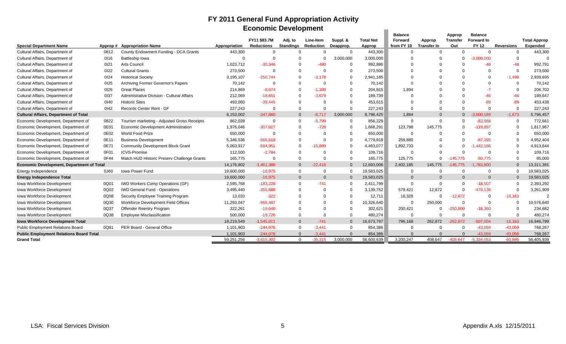## **FY 2011 General Fund Appropriation Activity Economic Development**

| <b>Balance</b><br><b>Balance</b><br>Approp<br>FY11 \$83.7M<br>Adj. to<br><b>Total Net</b><br><b>Forward to</b><br>Line-Item<br>Suppl. &<br><b>Forward</b><br><b>Transfer</b><br>Approp                                                  | <b>Reversions</b> | <b>Total Approp</b> |
|-----------------------------------------------------------------------------------------------------------------------------------------------------------------------------------------------------------------------------------------|-------------------|---------------------|
|                                                                                                                                                                                                                                         |                   |                     |
|                                                                                                                                                                                                                                         |                   |                     |
| <b>Standings</b><br>from FY 10<br><b>Reductions</b><br><b>Reduction</b><br>Deapprop.<br><b>Transfer In</b><br>Out<br><b>FY 12</b><br><b>Special Department Name</b><br><b>Appropriation Name</b><br>Appropriation<br>Approp<br>Approp # |                   | <b>Expended</b>     |
| 443,300<br>Cultural Affairs, Department of<br>0812<br>County Endowment Funding - DCA Grants<br>443,300<br>$\Omega$<br>$\Omega$<br>$\Omega$<br>$\Omega$<br>$\Omega$<br>$\Omega$<br>$\Omega$<br>$\Omega$                                  | $\mathbf{0}$      | 443,300             |
| Cultural Affairs, Department of<br>0116<br><b>Battleship lowa</b><br>3,000,000<br>3,000,000<br>$-3.000.000$<br>$\Omega$<br>$\Omega$<br>$\Omega$                                                                                         | $\mathbf 0$       |                     |
| Arts Council<br>$-480$<br>$-48$<br>Cultural Affairs, Department of<br>0121<br>1,023,712<br>$-30,346$<br>992,886<br>$\Omega$<br>$\Omega$                                                                                                 | $-48$             | 992,791             |
| 0122<br><b>Cultural Grants</b><br>273,500<br>$\Omega$<br>273,500<br>Cultural Affairs, Department of<br>$\Omega$<br>0<br>$\Omega$<br>$\Omega$                                                                                            | $\mathbf 0$       | 273,500             |
| $-250.744$<br>Cultural Affairs, Department of<br>0124<br><b>Historical Society</b><br>3,195,107<br>$-3.178$<br>2,941,185<br>0<br>$\Omega$<br>$\Omega$                                                                                   | $-1,490$          | 2,939,695           |
| Cultural Affairs, Department of<br>0125<br>Archiving Former Governor's Papers<br>70,142<br>$\Omega$<br>70,142<br>$\Omega$<br>$\Omega$<br>$\Omega$<br>$\Omega$<br>$\Omega$                                                               | $\mathbf 0$       | 70,142              |
| 0126<br>Cultural Affairs, Department of<br><b>Great Places</b><br>214,869<br>$-8,674$<br>$-1,380$<br>$\Omega$<br>204,815<br>1,894<br>$\Omega$<br>$-7$                                                                                   | $\mathbf 0$       | 206,702             |
| $-18.651$<br>189,739<br>$-46$<br>Cultural Affairs, Department of<br>0137<br>Administrative Division - Cultural Affairs<br>212,069<br>$-3.679$<br>$\Omega$<br>$\Omega$                                                                   | $-46$             | 189,647             |
| $-89$<br>Cultural Affairs, Department of<br>0140<br><b>Historic Sites</b><br>493,060<br>$-39,445$<br>453,615<br>$\Omega$<br>0<br>$\Omega$                                                                                               | $-89$             | 453,438             |
| Records Center Rent - GF<br>227,243<br>Cultural Affairs, Department of<br>0142<br>227,243<br>$\Omega$<br>0<br>$\Omega$<br>$\Omega$<br>$\Omega$<br>O                                                                                     | $\Omega$          | 227,243             |
| $-3.000.189$<br><b>Cultural Affairs, Department of Total</b><br>6,153,002<br>$-347,860$<br>$-8.717$<br>3,000,000<br>8,796,425<br>1,894<br>$\Omega$<br>$\overline{0}$<br>$\Omega$                                                        | $-1,673$          | 5,796,457           |
| 862,028<br>$-83,568$<br>Economic Development, Department of<br>0822<br>Tourism marketing - Adjusted Gross Receipts<br>$-5,799$<br>$\Omega$<br>856,229<br>$\Omega$<br>$\Omega$<br>$\Omega$<br>$\Omega$<br>$\Omega$                       | $\mathbf 0$       | 772,661             |
| 0E01<br>$-119.897$<br>Economic Development, Department of<br>Economic Development Administration<br>1,976,046<br>$-307,027$<br>$-728$<br>1,668,291<br>123,798<br>145,775<br>0<br>$\Omega$                                               | $\Omega$          | 1,817,967           |
| 0E02<br>World Food Prize<br>Economic Development, Department of<br>650,000<br>650,000<br>$\Omega$<br>$\Omega$<br>$\cap$<br>$\Omega$<br>- 0<br>$\Omega$                                                                                  | $\Omega$          | 650,000             |
| 0E11<br><b>Business Development</b><br>5,346,536<br>$-566,618$<br>4,779,918<br>259,880<br>$-87.395$<br>Economic Development, Department of<br>$\Omega$<br>0<br>$\Omega$                                                                 | $\mathbf 0$       | 4,952,404           |
| 0E7'<br><b>Community Development Block Grant</b><br>5,063,917<br>$-584,951$<br>$-15.889$<br>4,463,077<br>1,892,733<br>Economic Development, Department of<br>0<br>.442,166<br>$\Omega$                                                  | $\Omega$          | 4,913,644           |
| 0F01<br><b>ICVS-Promise</b><br>Economic Development, Department of<br>112,500<br>$-2,784$<br>109,716<br>$\Omega$<br>- 0<br>$\cap$<br>$\Omega$<br>$\Omega$                                                                               | $\Omega$          | 109,716             |
| Economic Development, Department of<br>0F44<br>Match HUD Historic Preserv Challenge Grants<br>165,775<br>165,775<br>125,775<br>$\Omega$<br>$-145.775$<br>$-50.775$<br>$\Omega$<br>$\Omega$<br>$\Omega$                                  | $\Omega$          | 95,000              |
| 14,176,802<br>$-1,461,380$<br>$-22,416$<br>12,693,006<br>2,402,185<br>$-145,775$<br>$-1.783.800$<br><b>Economic Development, Department of Total</b><br>$\Omega$<br>145.775                                                             | $\Omega$          | 13,311,391          |
| <b>Iowa Power Fund</b><br>19,583,025<br>Energy Independence<br>0J60<br>19,600,000<br>$-16,975$<br>$\Omega$<br>0<br>$\Omega$<br>- 0<br>$\Omega$<br>$\Omega$                                                                              | $\mathbf{0}$      | 19,583,025          |
| 19,600,000<br>$-16,975$<br>19,583,025<br>$\Omega$<br>$\Omega$<br>$\Omega$<br><b>Energy Independence Total</b><br>$\Omega$<br>$\Omega$<br>$\Omega$                                                                                       | $\Omega$          | 19,583,025          |
| IWD Workers Comp Operations (GF)<br>2,595,768<br>$-183,228$<br>$-741$<br>2,411,799<br>$\Omega$<br>$-18,507$<br>Iowa Workforce Development<br>0Q01<br>$\Omega$<br>0<br>$\Omega$<br>$\Omega$                                              | $\Omega$          | 2,393,292           |
| 0Q02<br>$-355,688$<br>3,139,752<br>12,872<br><b>IWD General Fund - Operations</b><br>3,495,440<br>579,421<br>$-470, 136$<br>Iowa Workforce Development<br>$\Omega$<br>$\Omega$<br>$\Omega$<br>$\Omega$                                  | $\Omega$          | 3,261,909           |
| 0Q08<br>Security Employee Training Program<br>13,033<br>$-322$<br>12,711<br>16,326<br>$-12,872$<br>Iowa Workforce Development<br>$\Omega$<br>$\Omega$<br>$\Omega$<br>$\Omega$<br>$\Omega$                                               | $-16,163$         |                     |
| 0Q30<br>Workforce Development Field Offices<br>11,293,047<br>$-966,407$<br>10,326,640<br>250,000<br><b>Iowa Workforce Development</b><br>$\Omega$<br>0<br>- 0<br>$\Omega$<br>$\Omega$                                                   | $\Omega$          | 10,576,640          |
| 0Q37<br>$-250,000$<br>Iowa Workforce Development<br>Offender Reentry Program<br>322,261<br>$-19,640$<br>302,621<br>$-18,360$<br>$\Omega$<br>$\Omega$<br>200,421<br>0                                                                    | $\Omega$          | 234,682             |
| 0Q38<br>$-19,726$<br>480,274<br>Iowa Workforce Development<br>Employee Misclassification<br>500,000<br>$\Omega$<br>$\Omega$<br>$\Omega$<br>$\Omega$<br>$\Omega$<br>$\Omega$                                                             | $\Omega$          | 480,274             |
| 18,219,549<br>$-1,545,011$<br>$\Omega$<br>$-741$<br>$\Omega$<br>16,673,797<br>796,168<br>262,872<br>$-262.872$<br>$-507,004$<br><b>Iowa Workforce Development Total</b>                                                                 | $-16,163$         | 16,946,799          |
| 0Q81<br>PER Board - General Office<br>$-244,076$<br>$-43,059$<br><b>Public Employment Relations Board</b><br>1,101,903<br>$-3,441$<br>$\Omega$<br>854,386<br>$\Omega$<br>$\Omega$<br>$\Omega$                                           | $-43,059$         | 768,267             |
| $-244.076$<br>$-43.059$<br><b>Public Employment Relations Board Total</b><br>1,101,903<br>$-3.441$<br>$\Omega$<br>854,386                                                                                                               | $-43.059$         | 768,267             |
| 59,251,256<br>$-3.615.302$<br>$-35.315$<br>3,000,000<br>58,600,639<br>3,200,247<br>408,647<br>$-408.647$<br>$-5.334.053$<br><b>Grand Total</b><br>$\Omega$                                                                              | $-60.895$         | 56,405,939          |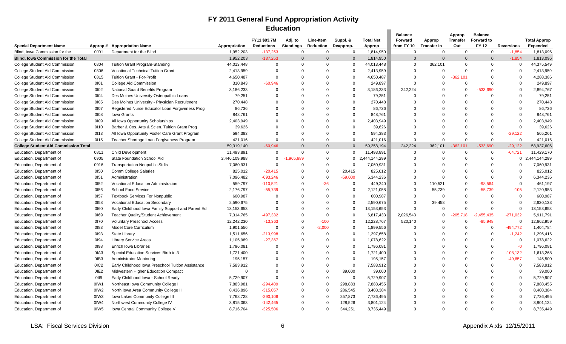### **FY 2011 General Fund Appropriation Activity Education**

|                                                      |                  |                                                                          |                        |                          | Education        |           |                    |                               |                |             |            |                   |                   |                     |
|------------------------------------------------------|------------------|--------------------------------------------------------------------------|------------------------|--------------------------|------------------|-----------|--------------------|-------------------------------|----------------|-------------|------------|-------------------|-------------------|---------------------|
|                                                      |                  |                                                                          |                        |                          |                  |           |                    |                               | <b>Balance</b> |             | Approp     | <b>Balance</b>    |                   |                     |
|                                                      |                  |                                                                          |                        | FY11 \$83.7M             | Adj. to          | Line-Item | Suppl. &           | <b>Total Net</b>              | Forward        | Approp      | Transfer   | <b>Forward to</b> |                   | <b>Total Approp</b> |
| <b>Special Department Name</b>                       | Approp#          | <b>Appropriation Name</b>                                                | Appropriation          | <b>Reductions</b>        | <b>Standings</b> | Reduction | Deapprop.          | Approp                        | from FY 10     | Transfer In | Out        | <b>FY 12</b>      | <b>Reversions</b> | <b>Expended</b>     |
| Blind, Iowa Commission for the                       | 0J01             | Department for the Blind                                                 | 1,952,203              | $-137,253$               | $\mathbf 0$      | $\Omega$  | $\Omega$           | 1,814,950                     | $\Omega$       | $\mathbf 0$ | $\Omega$   | $\Omega$          | $-1,854$          | 1,813,096           |
| <b>Blind. Iowa Commission for the Total</b>          |                  |                                                                          | 1,952,203              | $-137,253$               | $\Omega$         | $\Omega$  | $\Omega$           | 1,814,950                     | $\Omega$       | $\Omega$    |            | $\Omega$          | $-1,854$          | 1,813,096           |
| <b>College Student Aid Commission</b>                | 0804             | <b>Tuition Grant Program-Standing</b>                                    | 44,013,448             | $\Omega$                 | $\Omega$         | $\Omega$  | $\Omega$           | 44,013,448                    | $\Omega$       | 362,101     | $\Omega$   | $\Omega$          | $\Omega$          | 44,375,549          |
| College Student Aid Commission                       | 0806             | <b>Vocational Technical Tuition Grant</b>                                | 2,413,959              | $\mathbf 0$              | $\Omega$         | $\Omega$  | $\mathbf 0$        | 2,413,959                     | $\Omega$       | $\Omega$    | $\Omega$   | $\Omega$          | $\mathbf 0$       | 2,413,959           |
| College Student Aid Commission                       | 0815             | <b>Tuition Grant - For-Profit</b>                                        | 4,650,487              | $\Omega$                 | $\Omega$         | $\Omega$  | $\Omega$           | 4,650,487                     | - 0            | $\Omega$    | -362,101   | $\Omega$          | $\Omega$          | 4,288,386           |
| <b>College Student Aid Commission</b>                | 0101             | <b>College Aid Commission</b>                                            | 310,843                | $-60,946$                | $\Omega$         | $\Omega$  | $\mathbf 0$        | 249,897                       | $\Omega$       | $\Omega$    | $\Omega$   | $\Omega$          | $\Omega$          | 249,897             |
| College Student Aid Commission                       | 0102             | National Guard Benefits Program                                          | 3,186,233              | $\Omega$                 | $\Omega$         | $\Omega$  | $\Omega$           | 3,186,233                     | 242,224        | $\Omega$    | $\Omega$   | -533.690          | $\Omega$          | 2,894,767           |
| <b>College Student Aid Commission</b>                | 0104             | Des Moines University-Osteopathic Loans                                  | 79,251                 | $\Omega$                 | $\Omega$         | $\Omega$  | $\Omega$           | 79,251                        | $\Omega$       | $\Omega$    | $\Omega$   | $\Omega$          | $\Omega$          | 79,251              |
| College Student Aid Commission                       | 0105             | Des Moines University - Physician Recruitment                            | 270,448                | $\mathbf 0$              | $\Omega$         | $\Omega$  | $\Omega$           | 270,448                       | $\Omega$       | $\Omega$    | $\Omega$   | $\Omega$          | $\Omega$          | 270,448             |
| College Student Aid Commission                       | 0107             | Registered Nurse Educator Loan Forgiveness Prog                          | 86,736                 | $\Omega$                 | $\Omega$         | $\Omega$  | $\Omega$           | 86,736                        | $\Omega$       | $\Omega$    |            | $\Omega$          | $\Omega$          | 86,736              |
| College Student Aid Commission                       | 0108             | Iowa Grants                                                              | 848,761                | $\Omega$                 | $\Omega$         | $\Omega$  | $\Omega$           | 848,761                       | $\Omega$       | $\Omega$    |            | $\Omega$          | $\Omega$          | 848,761             |
| College Student Aid Commission                       | 0109             | All Iowa Opportunity Scholarships                                        | 2,403,949              | $\Omega$                 | $\Omega$         | $\Omega$  | $\Omega$           | 2,403,949                     | $\Omega$       | $\Omega$    |            | $\Omega$          | $\Omega$          | 2,403,949           |
| College Student Aid Commission                       | 0110             | Barber & Cos. Arts & Scien. Tuition Grant Prog                           | 39,626                 | $\Omega$                 | $\Omega$         | $\Omega$  | $\Omega$           | 39,626                        | $\Omega$       | $\Omega$    |            | $\Omega$          | $\Omega$          | 39,626              |
| College Student Aid Commission                       | 0113             | All Iowa Opportunity Foster Care Grant Program                           | 594,383                | $\mathbf 0$              | $\Omega$         | $\Omega$  | $\Omega$           | 594,383                       | $\mathbf 0$    | $\Omega$    |            | $\mathbf 0$       | $-29,122$         | 565,261             |
| College Student Aid Commission                       | 0115             | Teacher Shortage Loan Forgiveness Program                                | 421,016                | $\Omega$                 | $\Omega$         | $\Omega$  | $\Omega$           | 421,016                       | $\Omega$       | $\Omega$    | $\Omega$   | $\Omega$          | $\Omega$          | 421,016             |
| <b>College Student Aid Commission Total</b>          |                  |                                                                          | 59,319,140             | $-60.946$                | $\Omega$         | $\Omega$  | $\Omega$           | 59,258,194                    | 242.224        | 362,101     | $-362,101$ | -533.690          | $-29,122$         | 58,937,606          |
| Education, Department of                             | 0811             | <b>Child Development</b>                                                 | 11,493,891             | $\mathbf 0$              | $\Omega$         | $\Omega$  | $\mathbf 0$        | 11,493,891                    | $\overline{0}$ | $\Omega$    | $\Omega$   | $\mathbf 0$       | $-64,721$         | 11,429,170          |
| Education, Department of                             | 0905             | <b>State Foundation School Aid</b>                                       | 2,446,109,988          | $\Omega$                 | 1.965.689        | $\Omega$  | $\mathbf{0}$       | 444,144,299<br>$\overline{2}$ | $\Omega$       | $\Omega$    | $\Omega$   | $\Omega$          | $\mathbf 0$       | 2,444,144,299       |
| Education, Department of                             | 0916             | <b>Transportation Nonpublic Stdts</b>                                    | 7,060,931              | $\Omega$                 | $\Omega$         | $\Omega$  | $\mathbf 0$        | 7,060,931                     | $\Omega$       | $\Omega$    | $\Omega$   | $\Omega$          | $\Omega$          | 7,060,931           |
| Education, Department of                             | 0150             | Comm College Salaries                                                    | 825,012                | $-20,415$                | $\Omega$         | $\Omega$  | 20,415             | 825,012                       | $\Omega$       | $\Omega$    | $\Omega$   | $\Omega$          | $\Omega$          | 825,012             |
| Education, Department of                             | 0151             | Administration                                                           | 7,096,482              | $-693,246$               | $\Omega$         | $\Omega$  | $-59,000$          | 6,344,236                     | $\Omega$       | $\Omega$    | $\Omega$   | $\Omega$          | $\Omega$          | 6,344,236           |
| Education, Department of                             | 0152             | Vocational Education Administration                                      | 559,797                | $-110,521$               | $\Omega$         | $-36$     | $\Omega$           | 449,240                       | $\Omega$       | 110,521     | $\Omega$   | $-98,564$         | $\Omega$          | 461,197             |
| Education, Department of                             | 0156             | School Food Service                                                      | 2,176,797              | $-55,739$                | $\Omega$         | $\Omega$  | $\mathbf 0$        | 2,121,058                     | $\Omega$       | 55,739      | $\Omega$   | $-55,739$         | $-105$            | 2,120,953           |
| Education, Department of                             | 0157             | <b>Textbook Services For Nonpublic</b>                                   | 600,987                | $\Omega$                 | $\Omega$         | $\Omega$  | $\Omega$           | 600,987                       | $\Omega$       | $\Omega$    | $\Omega$   | $\Omega$          | $\Omega$          | 600,987             |
| Education, Department of                             | 0158             | <b>Vocational Education Secondary</b>                                    | 2,590,675              | $\Omega$                 | $\Omega$         | $\Omega$  | $\Omega$           | 2,590,675                     | $\Omega$       | 39,458      | $\Omega$   | $\Omega$          | $\Omega$          | 2,630,133           |
| Education, Department of                             | 0160             | Early Childhood Iowa Family Support and Parent Ed                        | 13,153,653             | $\mathbf 0$              | $\Omega$         | $\Omega$  | $\Omega$           | 13,153,653                    | $\Omega$       | $\Omega$    | $\Omega$   | $\Omega$          | $\Omega$          | 13,153,653          |
| Education, Department of                             | 0169             | <b>Teacher Quality/Student Achievement</b>                               | 7,314,765              | -497,332                 | $\Omega$         | $\Omega$  | $\Omega$           | 6,817,433                     | 2,026,543      | $\Omega$    | -205,718   | ,455,435          | $-271,032$        | 5,911,791           |
| Education, Department of                             | 0170             | <b>Voluntary Preschool Access</b>                                        | 12,242,230             | $-13,363$                | $\Omega$         | $-100$    | $\mathbf 0$        | 12,228,767                    | 520,140        | $\Omega$    | $\Omega$   | $-85,948$         | $\mathbf 0$       | 12,662,959          |
| Education, Department of                             | 0183             | <b>Model Core Curriculum</b>                                             | 1,901,556              | $\mathbf 0$              | $\Omega$         | $-2,000$  | $\Omega$           | 1,899,556                     | $\Omega$       | $\Omega$    | $\Omega$   | $\mathbf 0$       | $-494,772$        | 1,404,784           |
| Education, Department of                             | 0193             | State Library                                                            | 1,511,656              | $-213,998$               | $\Omega$         | $\Omega$  | $\Omega$           | 1,297,658                     | $\Omega$       | $\Omega$    | $\Omega$   | $\Omega$          | $-1,242$          | 1,296,416           |
| Education, Department of                             | 0194             | <b>Library Service Areas</b>                                             | 1,105,989              | $-27,367$                | $\Omega$         | $\Omega$  | $\mathbf 0$        | 1,078,622                     | $\Omega$       | $\Omega$    | $\Omega$   | $\Omega$          | $\Omega$          | 1,078,622           |
| Education, Department of                             | 0198             | <b>Enrich Iowa Libraries</b>                                             | 1,796,081              | $\Omega$                 | $\Omega$         | $\Omega$  | $\Omega$           | 1,796,081                     | $\Omega$       | $\Omega$    |            | $\Omega$          | $-0$              | 1,796,081           |
| Education, Department of                             | 0IA3             | Special Education Services Birth to 3                                    | 1,721,400              | $\Omega$                 | $\Omega$         | $\Omega$  | $\Omega$           | 1,721,400                     | $\Omega$       | $\Omega$    |            | $\Omega$          | $-108,132$        | 1,613,268           |
| Education, Department of                             | 0IB3             | <b>Administrator Mentoring</b>                                           | 195,157                | $\mathbf 0$              | $\Omega$         | $\Omega$  | $\Omega$           | 195,157                       | $\Omega$       | $\Omega$    |            | $\Omega$          | $-49,657$         | 145,500             |
| Education, Department of                             | 0IC2             | Early Childhood Iowa Preschool Tuition Assistance                        | 7,583,912              | $\Omega$                 | $\Omega$         | $\Omega$  | $\Omega$           | 7,583,912                     | $\Omega$       | $\Omega$    |            | $\Omega$          | $\Omega$          | 7,583,912           |
| Education, Department of                             | 0IE <sub>2</sub> | Midwestern Higher Education Compact                                      | $\Omega$               | $\Omega$                 | $\Omega$         | $\Omega$  | 39,000             | 39,000                        | $\Omega$       | $\Omega$    | $\Omega$   | $\Omega$          | $\Omega$          | 39,000              |
| Education, Department of                             | 0119             | Early Childhood Iowa - School Ready                                      | 5,729,907              | $\Omega$                 | $\Omega$         | $\Omega$  | $\mathbf 0$        | 5,729,907                     | $\Omega$       | $\Omega$    |            |                   | $\mathbf 0$       | 5,729,907           |
| Education, Department of                             | OIW1             | Northeast Iowa Community College I                                       | 7,883,981              | $-294,409$               | $\Omega$         | $\Omega$  | 298,883            | 7,888,455                     | $\Omega$       | $\Omega$    |            | $\Omega$          | $\Omega$          | 7,888,455           |
|                                                      |                  |                                                                          |                        |                          | $\Omega$         | $\Omega$  |                    |                               | $\Omega$       | $\Omega$    | $\Omega$   | $\Omega$          | $\mathbf 0$       | 8,408,384           |
| Education, Department of<br>Education, Department of | OIW2<br>0IW3     | North Iowa Area Community College II<br>Iowa Lakes Community College III | 8,436,896<br>7,768,728 | $-315,057$<br>$-290,106$ | $\Omega$         | $\Omega$  | 286,545<br>257,873 | 8,408,384<br>7,736,495        | $\Omega$       | $\Omega$    |            |                   | $\Omega$          | 7,736,495           |
|                                                      |                  |                                                                          |                        |                          | $\Omega$         | $\Omega$  |                    |                               | $\Omega$       | $\Omega$    |            | O                 | $\Omega$          |                     |
| Education, Department of                             | 0IW4             | Northwest Community College IV                                           | 3,815,063              | $-142,465$               |                  |           | 128,526            | 3,801,124                     |                |             |            |                   |                   | 3,801,124           |
| Education, Department of                             | OIW <sub>5</sub> | Iowa Central Community College V                                         | 8,716,704              | $-325.506$               | $\Omega$         | $\Omega$  | 344,251            | 8,735,449                     | $\Omega$       | $\Omega$    |            | $\Omega$          | $\Omega$          | 8,735,449           |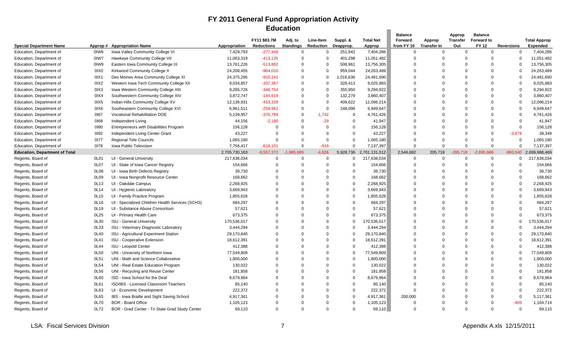## **FY 2011 General Fund Appropriation Activity Education**

|                                       |                  |                                                  |               |                   | Education        |                  |             |                  |                |                    |                 |                   |                   |                     |
|---------------------------------------|------------------|--------------------------------------------------|---------------|-------------------|------------------|------------------|-------------|------------------|----------------|--------------------|-----------------|-------------------|-------------------|---------------------|
|                                       |                  |                                                  |               |                   |                  |                  |             |                  | <b>Balance</b> |                    | Approp          | <b>Balance</b>    |                   |                     |
|                                       |                  |                                                  |               | FY11 \$83.7M      | Adj. to          | Line-Item        | Suppl. &    | <b>Total Net</b> | Forward        | Approp             | <b>Transfer</b> | <b>Forward to</b> |                   | <b>Total Approp</b> |
| <b>Special Department Name</b>        | Approp #         | <b>Appropriation Name</b>                        | Appropriation | <b>Reductions</b> | <b>Standings</b> | <b>Reduction</b> | Deapprop.   | Approp           | from FY 10     | <b>Transfer In</b> | Out             | <b>FY 12</b>      | <b>Reversions</b> | Expended            |
| Education, Department of              | 0IW6             | Iowa Valley Community College VI                 | 7,429,793     | $-277,449$        | $\Omega$         | $\Omega$         | 251,942     | 7,404,286        | $\Omega$       | $\Omega$           | $\Omega$        | $\Omega$          | $\mathbf 0$       | 7,404,286           |
| Education, Department of              | 0IW7             | <b>Hawkeye Community College VII</b>             | 11,063,319    | $-413, 135$       | $\Omega$         | $\mathbf 0$      | 401,298     | 11,051,482       | $\Omega$       | $\Omega$           | $\Omega$        | $\Omega$          | $\Omega$          | 11,051,482          |
| Education, Department of              | 0IW9             | Eastern Iowa Community College IX                | 13,761,226    | $-513,882$        | $\mathbf 0$      | $\mathbf 0$      | 508,961     | 13,756,305       | $\mathbf 0$    | $\Omega$           | $\Omega$        | $\mathbf 0$       | $\Omega$          | 13,756,305          |
| Education, Department of              | 0IX0             | Kirkwood Community College X                     | 24,208,455    | $-904,010$        | $\Omega$         | $\Omega$         | 959,044     | 24,263,489       | $\Omega$       | $\Omega$           | $\Omega$        | $\Omega$          | $\Omega$          | 24,263,489          |
| Education, Department of              | 0IX1             | Des Moines Area Community College XI             | 24,375,295    | $-910,241$        | $\Omega$         | $\Omega$         | 1,016,636   | 24,481,690       | $\Omega$       | $\Omega$           | $\Omega$        | $\Omega$          | $\Omega$          | 24,481,690          |
| Education, Department of              | 0IX2             | Western Iowa Tech Community College XII          | 9,034,857     | $-337,387$        | $\Omega$         | $\Omega$         | 328,413     | 9,025,883        | $\Omega$       | $\Omega$           | $\Omega$        | $\Omega$          | $\Omega$          | 9,025,883           |
| Education, Department of              | 0IX3             | Iowa Western Community College XIII              | 9,285,726     | $-346,754$        | $\Omega$         | $\Omega$         | 355,950     | 9,294,922        | $\Omega$       | $\Omega$           | $\Omega$        | $\Omega$          | $\Omega$          | 9,294,922           |
| Education, Department of              | 0IX4             | Southwestern Community College XIV               | 3,872,747     | $-144,619$        | $\Omega$         | $\Omega$         | 132,279     | 3,860,407        | $\Omega$       | $\Omega$           | $\Omega$        | $\Omega$          | $\Omega$          | 3,860,407           |
| Education, Department of              | 0IX5             | Indian Hills Community College XV                | 12,139,931    | $-453,339$        | $\Omega$         | $\Omega$         | 409,622     | 12,096,214       | $\Omega$       |                    | $\Omega$        | $\Omega$          | $\Omega$          | 12,096,214          |
| Education, Department of              | 0IX6             | Southeastern Community College XVI               | 6,961,511     | $-259,962$        | $\Omega$         | $\mathbf 0$      | 248,098     | 6,949,647        | $\Omega$       | $\Omega$           | $\Omega$        | $\Omega$          | $\Omega$          | 6,949,647           |
| Education, Department of              | 0167             | Vocational Rehabilitation DOE                    | 5,139,957     | $-376,789$        | $\mathbf 0$      | $-1,742$         | $\mathbf 0$ | 4,761,426        | $\Omega$       | $\Omega$           | $\Omega$        | $\Omega$          | $\Omega$          | 4,761,426           |
| Education, Department of              | 0168             | Independent Living                               | 44,156        | $-2,180$          | $\Omega$         | $-29$            | $\Omega$    | 41,947           | $\Omega$       | $\Omega$           | $\Omega$        | $\Omega$          | $\Omega$          | 41,947              |
| Education, Department of              | 0180             | Entrepreneurs with Disabilities Program          | 156,128       | $\Omega$          | $\Omega$         | $\Omega$         | $\Omega$    | 156,128          | $\Omega$       | $\Omega$           | $\Omega$        | $\Omega$          | $\Omega$          | 156,128             |
| Education, Department of              | 0192             | <b>Independent Living Center Grant</b>           | 43,227        | $\Omega$          | $\Omega$         | $\Omega$         | $\Omega$    | 43,227           | $\Omega$       | $\Omega$           | $\Omega$        | $\Omega$          | $-3,878$          | 39,349              |
| Education, Department of              | 0177             | <b>Regional Tele Councils</b>                    | 1,065,180     | $\Omega$          | $\Omega$         | $\Omega$         | $\Omega$    | 1,065,180        | $\Omega$       | $\Omega$           | $\Omega$        | $\Omega$          | $\Omega$          | 1,065,180           |
| Education, Department of              | 0178             | Iowa Public Television                           | 7,756,417     | $-618,101$        | $\Omega$         | $-919$           | $\mathbf 0$ | 7,137,397        | $\Omega$       | $\Omega$           | $\Omega$        | $\mathbf 0$       | $\Omega$          | 7,137,397           |
| <b>Education, Department of Total</b> |                  |                                                  | 2,705,730,163 | $-8,557,372$      | .965.689         | $-4,826$         | 5,928,736   | 2,701,131,012    | 2,546,682      | 205,718            | $-205.718$      | $-2.695.686$      | $-993,540$        | 2,699,988,469       |
| Regents, Board of                     | OL <sub>01</sub> | UI - General University                          | 217,638,034   | $\mathbf 0$       | $\Omega$         | $\Omega$         | 0           | 217,638,034      | $\mathbf 0$    | $\Omega$           | $\Omega$        | $\mathbf 0$       | $\mathbf{0}$      | 217,638,034         |
| Regents, Board of                     | 0L07             | UI - State of Iowa Cancer Registry               | 154,666       | $\mathbf 0$       | $\Omega$         | $\Omega$         | $\Omega$    | 154,666          | $\Omega$       | $\Omega$           | $\Omega$        | $\Omega$          | $\Omega$          | 154,666             |
| Regents, Board of                     | 0L08             | UI - Iowa Birth Defects Registry                 | 39,730        | $\Omega$          | $\Omega$         | $\Omega$         | $\Omega$    | 39,730           | $\Omega$       | $\Omega$           | $\Omega$        | $\Omega$          | $\Omega$          | 39,730              |
| Regents, Board of                     | 0L09             | UI - Iowa Nonprofit Resource Center              | 168,662       | $\Omega$          | $\Omega$         | $\Omega$         | $\Omega$    | 168,662          | $\Omega$       | $\Omega$           | $\Omega$        | $\Omega$          | $\Omega$          | 168,662             |
| Regents, Board of                     | 0L13             | UI - Oakdale Campus                              | 2,268,925     | $\Omega$          | $\Omega$         | $\Omega$         | $\Omega$    | 2,268,925        | $\Omega$       | $\Omega$           | $\Omega$        | $\Omega$          | $\Omega$          | 2,268,925           |
| Regents, Board of                     | 0L14             | UI - Hygienic Laboratory                         | 3,669,943     | $\Omega$          | $\Omega$         | $\Omega$         | $\Omega$    | 3,669,943        | $\Omega$       | $\Omega$           | $\Omega$        | $\Omega$          | $\Omega$          | 3,669,943           |
| Regents, Board of                     | 0L15             | UI - Family Practice Program                     | 1,855,628     | $\Omega$          | $\Omega$         | $\Omega$         | $\mathbf 0$ | 1,855,628        | $\Omega$       | $\Omega$           | $\Omega$        | $\Omega$          | $\Omega$          | 1,855,628           |
| Regents, Board of                     | 0L16             | UI - Specialized Children Health Services (SCHS) | 684,297       | $\Omega$          | $\Omega$         | $\Omega$         | $\Omega$    | 684,297          | $\Omega$       | $\Omega$           | $\Omega$        | $\Omega$          | $\Omega$          | 684,297             |
| Regents, Board of                     | 0L19             | UI - Substance Abuse Consortium                  | 57,621        | $\Omega$          | $\Omega$         | $\Omega$         | $\Omega$    | 57,621           | $\Omega$       | $\Omega$           | $\Omega$        | $\Omega$          | $\Omega$          | 57,621              |
| Regents, Board of                     | 0L25             | UI - Primary Health Care                         | 673,375       | $\Omega$          | $\Omega$         | $\Omega$         | $\Omega$    | 673,375          | $\Omega$       | $\Omega$           | $\Omega$        | $\Omega$          | $\Omega$          | 673,375             |
| Regents, Board of                     | 0L30             | <b>ISU - General University</b>                  | 170,536,017   | $\Omega$          | $\Omega$         | $\Omega$         | $\mathbf 0$ | 170,536,017      | $\Omega$       | $\Omega$           | $\Omega$        | $\Omega$          | $\Omega$          | 170,536,017         |
| Regents, Board of                     | 0L33             | ISU - Veterinary Diagnostic Laboratory           | 3,444,294     | $\mathbf 0$       | $\Omega$         | $\Omega$         | $\Omega$    | 3,444,294        | $\Omega$       | $\Omega$           | $\Omega$        | $\Omega$          |                   | 3,444,294           |
| Regents, Board of                     | 0L40             | ISU - Agricultural Experiment Station            | 29,170,840    | $\Omega$          | $\Omega$         | $\Omega$         | $\Omega$    | 29,170,840       | $\Omega$       | $\Omega$           | $\Omega$        | $\Omega$          | $\Omega$          | 29,170,840          |
| Regents, Board of                     | 0L41             | <b>ISU - Cooperative Extension</b>               | 18,612,391    | $\Omega$          | $\Omega$         | $\Omega$         | $\Omega$    | 18,612,391       | $\Omega$       | $\Omega$           | $\Omega$        | $\Omega$          | $\Omega$          | 18,612,391          |
| Regents, Board of                     | 0L44             | ISU - Leopold Center                             | 412,388       | $\Omega$          | $\Omega$         | $\Omega$         | $\Omega$    | 412,388          | $\Omega$       | $\Omega$           | $\Omega$        | $\Omega$          |                   | 412,388             |
| Regents, Board of                     | 0L50             | UNI - University of Northern Iowa                | 77,549,809    | $\Omega$          | $\Omega$         | $\Omega$         | $\Omega$    | 77,549,809       | $\Omega$       | $\Omega$           | $\Omega$        | $\Omega$          | $\Omega$          | 77,549,809          |
| Regents, Board of                     | 0L51             | UNI - Math and Science Collaborative             | 1,800,000     | $\Omega$          | $\Omega$         | $\Omega$         | $\mathbf 0$ | 1,800,000        | $\Omega$       |                    | $\sqrt{ }$      | O                 | $\Omega$          | 1,800,000           |
| Regents, Board of                     | 0L54             | UNI - Real Estate Education Program              | 130,022       | $\Omega$          | $\Omega$         | $\Omega$         | $\Omega$    | 130,022          | $\Omega$       | $\Omega$           | $\Omega$        | $\Omega$          | $\Omega$          | 130,022             |
| Regents, Board of                     | 0L56             | UNI - Recycling and Reuse Center                 | 181,858       | $\Omega$          | $\Omega$         | $\Omega$         | $\Omega$    | 181,858          | $\Omega$       | $\Omega$           | $\Omega$        | $\Omega$          | $\Omega$          | 181,858             |
| Regents, Board of                     | 0L60             | ISD - Iowa School for the Deaf                   | 8,679,964     | $\Omega$          | $\Omega$         | $\Omega$         | $\mathbf 0$ | 8,679,964        | $\overline{0}$ | $\Omega$           | $\Omega$        | $\Omega$          | $\Omega$          | 8,679,964           |
| Regents, Board of                     | 0L61             | ISD/IBS - Licensed Classroom Teachers            | 85,140        | $\Omega$          | $\Omega$         | $\Omega$         | $\Omega$    | 85,140           | $\Omega$       | $\Omega$           | $\Omega$        | $\Omega$          | $\Omega$          | 85,140              |
| Regents, Board of                     | 0L63             | UI - Economic Development                        | 222,372       | $\Omega$          | $\Omega$         | $\Omega$         | $\Omega$    | 222,372          | $\Omega$       | $\Omega$           | $\Omega$        | $\Omega$          | $\Omega$          | 222,372             |
| Regents, Board of                     | 0L65             | IBS - Iowa Braille and Sight Saving School       | 4,917,361     | $\Omega$          | $\Omega$         | $\Omega$         | $\Omega$    | 4,917,361        | 200,000        | $\Omega$           | $\Omega$        | $\Omega$          | $\Omega$          | 5,117,361           |
| Regents, Board of                     | 0L70             | <b>BOR - Board Office</b>                        | 1,105,123     | $\Omega$          | $\Omega$         | $\Omega$         | $\Omega$    | 1,105,123        | 0              | $\Omega$           | C               | ი                 | $-409$            | 1,104,714           |
| Regents, Board of                     | 0L72             | BOR - Grad Center - Tri State Grad Study Center  | 69,110        | $\Omega$          | $\Omega$         | $\Omega$         | $\Omega$    | 69,110           | $\Omega$       | $\Omega$           | $\Omega$        | $\Omega$          | $\Omega$          | 69,110              |
|                                       |                  |                                                  |               |                   |                  |                  |             |                  |                |                    |                 |                   |                   |                     |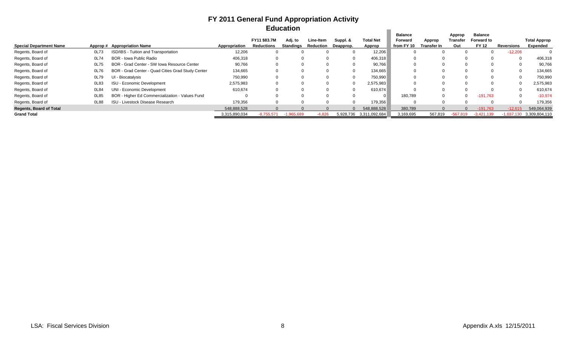## **FY 2011 General Fund Appropriation Activity Education**

|                                |      |                                                   |               |              | Equcation |           |              |               |                |                    |            |                   |                 |                     |
|--------------------------------|------|---------------------------------------------------|---------------|--------------|-----------|-----------|--------------|---------------|----------------|--------------------|------------|-------------------|-----------------|---------------------|
|                                |      |                                                   |               |              |           |           |              |               | <b>Balance</b> |                    | Approp     | <b>Balance</b>    |                 |                     |
|                                |      |                                                   |               | FY11 \$83.7M | Adj. to   | Line-Item | Suppl. &     | Total Net     | Forward        | Approp             | Transfer   | <b>Forward to</b> |                 | <b>Total Approp</b> |
| <b>Special Department Name</b> |      | Approp# Appropriation Name                        | Appropriation | Reductions   | Standings | Reduction | Deapprop.    | Approp        | from FY 10     | <b>Transfer In</b> | Out        | <b>FY 12</b>      | Reversions      | Expended            |
| Regents, Board of              | 0L73 | ISD/IBS - Tuition and Transportation              | 12,206        |              |           |           |              | 12,206        |                |                    |            |                   | $-12,206$       |                     |
| Regents, Board of              | 0L74 | <b>BOR - Iowa Public Radio</b>                    | 406,318       | 0            |           |           | $\Omega$     | 406,318       |                |                    |            | $\Omega$          | $\mathbf 0$     | 406,318             |
| Regents, Board of              | 0L75 | BOR - Grad Center - SW Iowa Resource Center       | 90,766        |              |           |           |              | 90,766        |                |                    |            |                   |                 | 90,766              |
| Regents, Board of              | 0L76 | BOR - Grad Center - Quad Cities Grad Study Center | 134,665       |              |           |           | <sup>0</sup> | 134,665       |                |                    |            | $\Omega$          |                 | 134,665             |
| Regents, Board of              | 0L79 | UI - Biocatalysis                                 | 750,990       | U            |           |           |              | 750,990       |                |                    |            |                   | $\Omega$        | 750,990             |
| Regents, Board of              | 0L83 | ISU - Economic Development                        | 2,575,983     |              |           |           | $\Omega$     | 2,575,983     |                |                    |            |                   |                 | 2,575,983           |
| Regents, Board of              | 0L84 | UNI - Economic Development                        | 610,674       | 0            |           |           | <sup>0</sup> | 610,674       |                |                    |            | $\Omega$          | $\Omega$        | 610,674             |
| Regents, Board of              | 0L85 | BOR - Higher Ed Commercialization - Values Fund   |               |              |           |           |              |               | 180.789        |                    |            | $-191,763$        | 0               | $-10,974$           |
| Regents, Board of              | 0L88 | <b>ISU - Livestock Disease Research</b>           | 179,356       |              |           |           |              | 179,356       |                |                    |            |                   | $\Omega$        | 179,356             |
| <b>Regents, Board of Total</b> |      |                                                   | 548,888,528   |              |           |           | $\Omega$     | 548,888,528   | 380,789        |                    |            | $-191.763$        | $-12.615$       | 549,064,939         |
| <b>Grand Total</b>             |      |                                                   | 3,315,890,034 | $-8.755.571$ | 965.689   | $-4.826$  | 5,928,736    | 3,311,092,684 | 3,169,695      | 567,819            | $-567.819$ | $-3.421.139$      | $-1,037$<br>130 | 3,309,804,110       |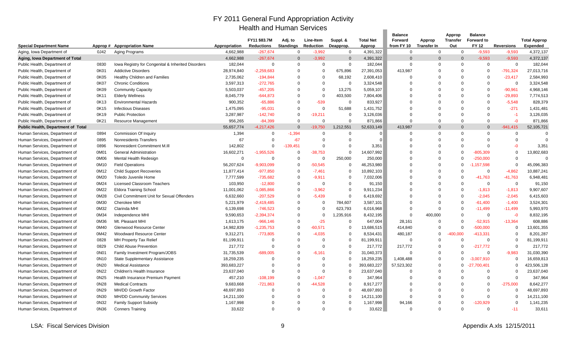### FY 2011 General Fund Appropriation Activity Health and Human Services

|                                    |         |                                                        |               | Health and Human Services         |                             |                               |                       |                            |                       |                              |                        |                                   |                         |                                        |
|------------------------------------|---------|--------------------------------------------------------|---------------|-----------------------------------|-----------------------------|-------------------------------|-----------------------|----------------------------|-----------------------|------------------------------|------------------------|-----------------------------------|-------------------------|----------------------------------------|
|                                    |         |                                                        |               |                                   |                             |                               |                       |                            | <b>Balance</b>        |                              | Approp                 | <b>Balance</b>                    |                         |                                        |
| <b>Special Department Name</b>     | Approp# | <b>Appropriation Name</b>                              | Appropriation | FY11 \$83.7M<br><b>Reductions</b> | Adj. to<br><b>Standings</b> | Line-Item<br><b>Reduction</b> | Suppl. &<br>Deapprop. | <b>Total Net</b><br>Approp | Forward<br>from FY 10 | Approp<br><b>Transfer In</b> | <b>Transfer</b><br>Out | <b>Forward to</b><br><b>FY 12</b> | <b>Reversions</b>       | <b>Total Approp</b><br><b>Expended</b> |
| Aging, Iowa Department of          | 0J42    | Aging Programs                                         | 4,662,988     | $-267,674$                        | $\Omega$                    | $-3,992$                      | $\Omega$              | 4,391,322                  | $\mathbf 0$           | $\mathbf 0$                  | $\Omega$               | $-9,593$                          | $-9,593$                | 4,372,137                              |
| Aging, Iowa Department of Total    |         |                                                        | 4,662,988     | $-267,674$                        | $\Omega$                    | $-3,992$                      | $\Omega$              | 4,391,322                  | $\Omega$              | $\Omega$                     | $\Omega$               | $-9,593$                          | $-9,593$                | 4,372,137                              |
| Public Health, Department of       | 0830    | Iowa Registry for Congenital & Inherited Disorders     | 182,044       | $\mathbf 0$                       | $\Omega$                    | $\Omega$                      | $\mathbf 0$           | 182,044                    | $\Omega$              | $\Omega$                     | $\Omega$               | $\mathbf 0$                       | $\mathbf 0$             | 182,044                                |
| Public Health, Department of       | 0K01    | <b>Addictive Disorders</b>                             | 28,974,840    | $-2,259,683$                      | $\Omega$                    | $\Omega$                      | 675,896               | 27,391,053                 | 413,987               | 0                            | $\Omega$               | $\Omega$                          | $-791,324$              | 27,013,716                             |
| Public Health, Department of       | 0K05    | <b>Healthy Children and Families</b>                   | 2,735,062     | $-194,844$                        | $\Omega$                    | $\Omega$                      | 68,192                | 2,608,410                  | $\Omega$              | 0                            | $\Omega$               | $\mathbf 0$                       | $-23,417$               | 2,584,993                              |
| Public Health, Department of       | 0K07    | <b>Chronic Conditions</b>                              | 3,597,313     | $-272,765$                        | $\Omega$                    | $\Omega$                      | $\Omega$              | 3,324,548                  | $\Omega$              | ი                            | $\Omega$               | $\Omega$                          | $\mathbf 0$             | 3,324,548                              |
| Public Health, Department of       | 0K09    | <b>Community Capacity</b>                              | 5,503,037     | $-457,205$                        | $\Omega$                    | $\Omega$                      | 13,275                | 5,059,107                  | $\Omega$              | $\Omega$                     | $\Omega$               | $\Omega$                          | $-90,961$               | 4,968,146                              |
| Public Health, Department of       | 0K11    | <b>Elderly Wellness</b>                                | 8,045,779     | $-644,873$                        | $\Omega$                    | $\Omega$                      | 403,500               | 7,804,406                  | $\Omega$              | O                            | $\Omega$               | $\Omega$                          | $-29,893$               | 7,774,513                              |
|                                    | 0K13    | <b>Environmental Hazards</b>                           |               |                                   | $\Omega$                    | $-539$                        | $\Omega$              |                            | $\Omega$              |                              | $\Omega$               | $\Omega$                          | $-5,548$                |                                        |
| Public Health, Department of       | 0K15    |                                                        | 900,352       | $-65,886$<br>$-95,031$            | $\Omega$                    | $\Omega$                      |                       | 833,927                    | $\Omega$              | $\Omega$                     | $\Omega$               | $\Omega$                          | $-271$                  | 828,379                                |
| Public Health, Department of       | 0K19    | <b>Infectious Diseases</b><br><b>Public Protection</b> | 1,475,095     | $-142,740$                        | $\Omega$                    | $-19,211$                     | 51,688<br>$\Omega$    | 1,431,752                  | $\Omega$              | ი                            | $\Omega$               | $\Omega$                          | $-1$                    | 1,431,481                              |
| Public Health, Department of       |         |                                                        | 3,287,987     |                                   | $\Omega$                    | $\Omega$                      | $\Omega$              | 3,126,036                  | $\Omega$              | $\Omega$                     | $\Omega$               | $\mathbf 0$                       | $-0$                    | 3,126,035                              |
| Public Health, Department of       | 0K21    | <b>Resource Management</b>                             | 956,265       | $-84,399$                         | $\Omega$                    |                               |                       | 871,866                    |                       | $\Omega$                     | $\Omega$               | $\Omega$                          |                         | 871,866                                |
| Public Health, Department of Total |         |                                                        | 55,657,774    | $-4,217,426$                      |                             | $-19,750$<br>$\Omega$         | 1,212,551             | 52,633,149                 | 413,987               | $\Omega$                     | $\Omega$               |                                   | $-941,415$              | 52,105,721<br>$\Omega$                 |
| Human Services, Department of      | 0894    | Commission Of Inquiry                                  | 1,394         | $\Omega$<br>$\Omega$              | $-1,394$                    | $\Omega$                      | $\Omega$              | $\Omega$<br>$\Omega$       | $\Omega$<br>$\Omega$  | $\Omega$                     | $\Omega$               | $\mathbf 0$                       | $\mathbf 0$<br>$\Omega$ | $\Omega$                               |
| Human Services, Department of      | 0895    | Nonresidents Transfers                                 | 67            |                                   | $-67$                       |                               | $\Omega$              |                            |                       |                              |                        | $\Omega$                          |                         |                                        |
| Human Services, Department of      | 0896    | Nonresident Commitment M.III                           | 142,802       | $\Omega$                          | $-139.451$                  | $\Omega$                      | $\Omega$              | 3,351                      | $\Omega$              | 0                            | $\Omega$<br>$\Omega$   | $\Omega$                          | $-0$                    | 3,351                                  |
| Human Services, Department of      | 0M01    | <b>General Administration</b>                          | 16,602,271    | $-1,955,526$                      | $\Omega$                    | $-38,753$                     | $\mathbf 0$           | 14,607,992                 | $\Omega$              | $\Omega$<br>$\Omega$         |                        | $-805,309$                        | $\Omega$                | 13,802,683                             |
| Human Services, Department of      | 0M06    | Mental Health Redesign                                 | $\Omega$      | $\Omega$                          | $\Omega$                    | $\Omega$                      | 250,000               | 250,000                    | $\Omega$              |                              | $\Omega$<br>$\Omega$   | $-250,000$                        | $\Omega$                | 0                                      |
| Human Services, Department of      | 0M10    | <b>Field Operations</b>                                | 56,207,624    | $-9,903,099$                      | $\Omega$                    | $-50,545$                     | $\Omega$              | 46,253,980                 | $\Omega$<br>$\Omega$  | $\Omega$<br>$\Omega$         | $\Omega$               | $-1, 157, 598$                    | $\mathbf 0$             | 45,096,383                             |
| Human Services, Department of      | 0M12    | <b>Child Support Recoveries</b>                        | 11,877,414    | $-977,850$                        | $\Omega$                    | $-7,461$                      | $\Omega$              | 10,892,103                 |                       |                              |                        | $\mathbf 0$                       | $-4,862$                | 10,887,241                             |
| Human Services, Department of      | 0M20    | Toledo Juvenile Home                                   | 7,777,599     | $-735,682$                        | $\Omega$                    | $-9,911$                      | $\Omega$              | 7,032,006                  | $\Omega$              |                              | $\Omega$               | $-41,763$                         | $-41,763$               | 6,948,481                              |
| Human Services, Department of      | 0M24    | <b>Licensed Classroom Teachers</b>                     | 103,950       | $-12,800$                         | $\Omega$                    | $\Omega$                      | $\Omega$              | 91,150                     | $\Omega$              | $\Omega$                     | $\Omega$               | $\mathbf 0$                       | $\mathbf 0$             | 91,150                                 |
| Human Services, Department of      | 0M22    | <b>Eldora Training School</b>                          | 11,001,062    | $-1,085,866$                      | $\Omega$                    | $-3,962$                      | $\Omega$              | 9,911,234                  | $\Omega$              |                              | $\Omega$               | $-1,813$                          | $-1,813$                | 9,907,607                              |
| Human Services, Department of      | 0M28    | Civil Commitment Unit for Sexual Offenders             | 6,632,660     | $-207,529$                        | $\Omega$                    | $-5,439$                      | $\Omega$              | 6,419,692                  | $\Omega$              | $\Omega$                     | $\Omega$               | $-2,045$                          | $-2,045$                | 6,415,603                              |
| Human Services, Department of      | 0M30    | Cherokee MHI                                           | 5,221,979     | $-2,419,485$                      | $\Omega$                    | $\Omega$                      | 784,607               | 3,587,101                  | $\Omega$              | 0                            | $\Omega$               | $-61,400$                         | $-1,400$                | 3,524,301                              |
| Human Services, Department of      | 0M32    | Clarinda MHI                                           | 6,139,698     | $-746,523$                        | $\Omega$                    | $\Omega$                      | 623,793               | 6,016,968                  | $\Omega$              | $\Omega$                     | $\Omega$               | $-11,499$                         | $-11,499$               | 5,993,970                              |
| Human Services, Department of      | 0M34    | Independence MHI                                       | 9,590,653     | $-2,394,374$                      | $\Omega$                    | $\Omega$                      | 1,235,916             | 8,432,195                  | $\Omega$              | 400,000                      | $\Omega$               | $\mathbf 0$                       | $-0$                    | 8,832,195                              |
| Human Services, Department of      | 0M36    | Mt. Pleasant MHI                                       | 1,613,175     | $-966, 146$                       | $\Omega$                    | $-25$                         | $\Omega$              | 647,004                    | 28,161                | $\Omega$                     | $\Omega$               | $-52,915$                         | $-13,364$               | 608.886                                |
| Human Services, Department of      | 0M40    | Glenwood Resource Center                               | 14,982,839    | $-1,235,753$                      | $\Omega$                    | $-60,571$                     | $\Omega$              | 13,686,515                 | 414,840               | $\Omega$                     | $\Omega$               | $-500,000$                        | $\mathbf 0$             | 13,601,355                             |
| Human Services, Department of      | 0M42    | <b>Woodward Resource Center</b>                        | 9,312,271     | $-773,805$                        | $\Omega$                    | $-4,035$                      | $\Omega$              | 8,534,431                  | 480,187               | $\Omega$                     | 400,000                | $-413,331$                        | $\Omega$                | 8,201,287                              |
| Human Services, Department of      | 0828    | MH Property Tax Relief                                 | 81,199,911    | $\Omega$                          | $\Omega$                    | $\Omega$                      | $\mathbf 0$           | 81,199,911                 | $\Omega$              | $\Omega$                     | $\Omega$               | $\mathbf 0$                       | $\mathbf 0$             | 81,199,911                             |
| Human Services, Department of      | 0829    | Child Abuse Prevention                                 | 217,772       | $\Omega$                          | $\Omega$                    | $\Omega$                      | $\Omega$              | 217,772                    | 217,772               | $\Omega$                     | $\Omega$               | $-217,772$                        | $\Omega$                | 217,772                                |
| Human Services, Department of      | 0N01    | Family Investment Program/JOBS                         | 31,735,539    | $-689,005$                        | $\Omega$                    | $-6,161$                      | 0                     | 31,040,373                 | $\Omega$              | 0                            | $\Omega$               | $\mathbf 0$                       | $-9,983$                | 31,030,390                             |
| Human Services, Department of      | 0N10    | <b>State Supplementary Assistance</b>                  | 18,259,235    | $\Omega$                          | $\Omega$                    | $\Omega$                      | $\Omega$              | 18,259,235                 | 1,408,488             | $\Omega$                     | $\Omega$               | $-3,007,910$                      | $\Omega$                | 16,659,813                             |
| Human Services, Department of      | 0N20    | <b>Medical Assistance</b>                              | 393,683,227   | $\Omega$                          | $\Omega$                    | $\Omega$                      | $\Omega$              | 393,683,227                | 57,523,302            | $\Omega$                     | $\Omega$               | $-27,700,401$                     | $\Omega$                | 123,506,128                            |
| Human Services, Department of      | 0N22    | Children's Health Insurance                            | 23,637,040    | $\Omega$                          | $\Omega$                    | $\Omega$                      | $\mathbf 0$           | 23,637,040                 | $\Omega$              | 0                            | $\Omega$               | $\Omega$                          | $\mathbf 0$             | 23,637,040                             |
| Human Services, Department of      | 0N25    | Health Insurance Premium Payment                       | 457,210       | $-108,199$                        | $\Omega$                    | $-1,047$                      | $\Omega$              | 347,964                    | $\Omega$              | $\Omega$                     | $\Omega$               | $\Omega$                          | $\Omega$                | 347,964                                |
| Human Services, Department of      | 0N28    | <b>Medical Contracts</b>                               | 9,683,668     | $-721,863$                        | $\Omega$                    | $-44,528$                     | $\Omega$              | 8,917,277                  | $\Omega$              | $\Omega$                     | $\Omega$               | $\Omega$                          | $-275,000$              | 8,642,277                              |
| Human Services, Department of      | 0N29    | MH/DD Growth Factor                                    | 48,697,893    | $\Omega$                          | $\Omega$                    | $\Omega$                      | $\Omega$              | 48,697,893                 | O                     | $\Omega$                     | $\Omega$               | $\Omega$                          | $\Omega$                | 48,697,893                             |
| Human Services, Department of      | 0N30    | <b>MH/DD Community Services</b>                        | 14,211,100    | $\Omega$                          |                             | $\Omega$                      | $\Omega$              | 14,211,100                 | $\Omega$              | $\Omega$                     | $\Omega$               | $\Omega$                          | $\Omega$                | 14,211,100                             |
| Human Services, Department of      | 0N32    | <b>Family Support Subsidy</b>                          | 1,167,998     | $\Omega$                          |                             |                               | $\Omega$              | 1,167,998                  | 94,166                | $\Omega$                     | $\Omega$               | 120,929                           | $\Omega$                | 1,141,235                              |
| Human Services, Department of      | 0N36    | <b>Conners Training</b>                                | 33,622        | $\Omega$                          | $\Omega$                    | $\Omega$                      | $\Omega$              | 33,622                     | $\Omega$              | $\Omega$                     | $\Omega$               | $\Omega$                          | $-11$                   | 33,611                                 |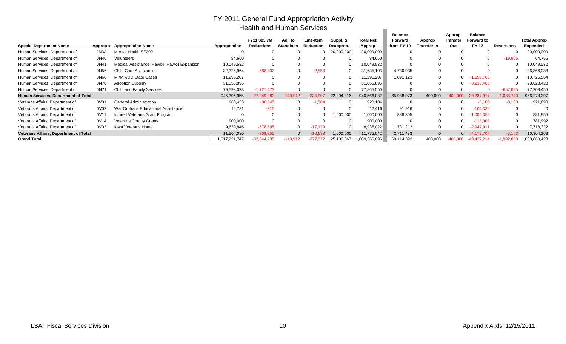### FY 2011 General Fund Appropriation Activity Health and Human Services

|                                              |          |                                              |               | Health and Hunian Services |                  |                  |              |                  |                |                    |            |               |              |                     |
|----------------------------------------------|----------|----------------------------------------------|---------------|----------------------------|------------------|------------------|--------------|------------------|----------------|--------------------|------------|---------------|--------------|---------------------|
|                                              |          |                                              |               |                            |                  |                  |              |                  | <b>Balance</b> |                    | Approp     | Balance       |              |                     |
|                                              |          |                                              |               | FY11 \$83.7M               | Adj. to          | <b>Line-Item</b> | Suppl. &     | <b>Total Net</b> | Forward        | Approp             | Transfer   | Forward to    |              | <b>Total Approp</b> |
| <b>Special Department Name</b>               | Approp # | <b>Appropriation Name</b>                    | Appropriation | Reductions                 | <b>Standings</b> | <b>Reduction</b> | Deapprop.    | Approp           | from FY 10     | <b>Transfer In</b> | Out        | <b>FY 12</b>  | Reversions   | Expended            |
| Human Services, Department of                | 0N3A     | Mental Health SF209                          |               |                            |                  |                  | 20,000,000   | 20,000,000       |                |                    |            |               |              | 20,000,000          |
| Human Services, Department of                | 0N40     | Volunteers                                   | 84,660        |                            |                  |                  |              | 84,660           |                |                    | υ          | $\Omega$      | $-19,905$    | 64,755              |
| Human Services, Department of                | 0N41     | Medical Assistance, Hawk-i, Hawk-i Expansion | 10,049,532    |                            |                  |                  |              | 10,049,532       |                |                    | U          |               |              | 10,049,532          |
| Human Services, Department of                | 0N56     | Child Care Assistance                        | 32,325,964    | $-688,302$                 |                  | $-2,559$         | $\mathbf{0}$ | 31,635,103       | 4,730,935      |                    | $\Omega$   | 0             |              | 36,366,038          |
| Human Services, Department of                | 0N60     | MI/MR/DD State Cases                         | 11,295,207    |                            |                  |                  |              | 11,295,207       | 1,091,123      | $\Omega$           | 0          | $-1,659,766$  |              | 10,726,564          |
| Human Services, Department of                | 0N70     | <b>Adoption Subsidy</b>                      | 31,856,896    |                            |                  |                  | 0            | 31,856,896       |                |                    | 0          | $-3,233,468$  |              | 28,623,428          |
| Human Services, Department of                | 0N71     | <b>Child and Family Services</b>             | 79,593,023    | $-1,727,473$               |                  |                  |              | 77,865,550       |                |                    | 0          | n             | $-657,095$   | 77,208,455          |
| Human Services, Department of Total          |          |                                              | 945,396,955   | $-27,349,280$              | $-140,912$       | $-234,997$       | 22,894,316   | 940,566,082      | 65,988,973     | 400,000            |            | $-39,237,917$ | $-1,038,740$ | 966,278,397         |
| Veterans Affairs, Department of              | 0V01     | <b>General Administration</b>                | 960,453       | $-30,845$                  | 0                | $-1,504$         | $\Omega$     | 928,104          |                |                    | 0          | $-3,103$      | $-3,103$     | 921,898             |
| Veterans Affairs, Department of              | 0V02     | War Orphans Educational Assistance           | 12,731        | $-315$                     |                  |                  |              | 12,416           | 91,916         |                    | $\Omega$   | $-104,332$    | $\Omega$     |                     |
| Veterans Affairs, Department of              | 0V11     | Injured Veterans Grant Program               |               |                            |                  |                  | ,000,000     | 1,000,000        | 888,305        |                    | 0          | $-1,006,350$  |              | 881,955             |
| Veterans Affairs, Department of              | 0V14     | <b>Veterans County Grants</b>                | 900,000       |                            |                  |                  |              | 900,000          |                |                    |            | $-118,008$    |              | 781,992             |
| Veterans Affairs, Department of              | 0V03     | Iowa Veterans Home                           | 9,630,846     | $-678,695$                 |                  | $-17,129$        |              | 8,935,022        | 1,731,212      |                    |            | $-2,947,911$  |              | 7,718,322           |
| <b>Veterans Affairs, Department of Total</b> |          |                                              | 11,504,030    | $-709.855$                 |                  | $-18.633$        | 1,000,000    | 11,775,542       | 2,711,433      |                    |            | $-4.179.704$  | $-3.103$     | 10,304,168          |
| <b>Grand Total</b>                           |          |                                              | ,017,221,747  | $-32,544,235$              | -140,912         | $-277,372$       | 25,106,867   | 1,009,366,095    | 69,114,392     | 400,000            | $-400,000$ | $-43,427,214$ | 1.992.850    | 033,060,423         |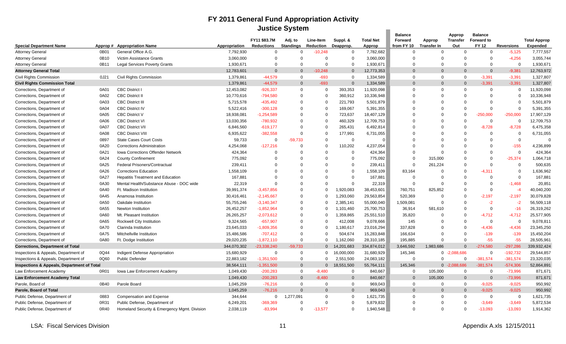## **FY 2011 General Fund Appropriation Activity Justice System**

|                                                       |          |                                              |                          |                                          | <b>JUSTICE SYSTEM</b>       |                               |                       |                            |                       |                              |                            |                            |                   |                                        |
|-------------------------------------------------------|----------|----------------------------------------------|--------------------------|------------------------------------------|-----------------------------|-------------------------------|-----------------------|----------------------------|-----------------------|------------------------------|----------------------------|----------------------------|-------------------|----------------------------------------|
|                                                       |          |                                              |                          |                                          |                             |                               |                       |                            | <b>Balance</b>        |                              | Approp                     | <b>Balance</b>             |                   |                                        |
| <b>Special Department Name</b>                        | Approp # | <b>Appropriation Name</b>                    | Appropriation            | <b>FY11 \$83.7M</b><br><b>Reductions</b> | Adj. to<br><b>Standings</b> | Line-Item<br><b>Reduction</b> | Suppl. &<br>Deapprop. | <b>Total Net</b><br>Approp | Forward<br>from FY 10 | Approp<br><b>Transfer In</b> | <b>Transfer</b><br>Out     | Forward to<br><b>FY 12</b> | <b>Reversions</b> | <b>Total Approp</b><br><b>Expended</b> |
| <b>Attorney General</b>                               | 0B01     | General Office A.G.                          | 7,792,930                | $\Omega$                                 | $\Omega$                    | $-10,248$                     | $\Omega$              | 7,782,682                  | $\Omega$              | $\Omega$                     | $\Omega$                   | $\Omega$                   | $-5,125$          | 7,777,557                              |
| <b>Attorney General</b>                               | 0B10     | Victim Assistance Grants                     | 3,060,000                | $\Omega$                                 | $\Omega$                    | $\Omega$                      | $\Omega$              | 3,060,000                  | $\Omega$              | $\Omega$                     | $\Omega$                   | $\Omega$                   | $-4,256$          | 3,055,744                              |
| <b>Attorney General</b>                               | 0B11     | <b>Legal Services Poverty Grants</b>         | 1,930,671                | $\Omega$                                 | $\Omega$                    | $\Omega$                      | $\Omega$              | 1,930,671                  | $\Omega$              | $\Omega$                     | $\Omega$                   | $\Omega$                   | $\Omega$          | 1,930,671                              |
| <b>Attorney General Total</b>                         |          |                                              | 12,783,601               | $\Omega$                                 | $\Omega$                    | $-10.248$                     | $\Omega$              | 12,773,353                 | $\Omega$              | $\Omega$                     | $\overline{0}$             | $\Omega$                   | $-9,381$          | 12,763,972                             |
|                                                       |          |                                              |                          | $-44,579$                                | $\Omega$                    | $-693$                        | $\Omega$              | 1,334,589                  | $\Omega$              | $\Omega$                     | $\mathbf 0$                | $-3,391$                   | $-3,391$          | 1,327,807                              |
| Civil Rights Commission                               | 0J21     | Civil Rights Commission                      | 1,379,861                | $-44.579$                                | $\Omega$                    | $-693$                        | $\Omega$              | 1,334,589                  | $\Omega$              | $\Omega$                     | $\Omega$                   | $-3.391$                   | $-3.391$          | 1,327,807                              |
| <b>Civil Rights Commission Total</b>                  | 0A01     | <b>CBC District I</b>                        | 1,379,861                | $-926,337$                               | $\Omega$                    | $\Omega$                      |                       | 11,920,098                 | $\Omega$              | $\Omega$                     | $\Omega$                   | 0                          | $\mathbf 0$       | 11,920,098                             |
| Corrections, Department of                            | 0A02     | <b>CBC</b> District II                       | 12,453,082<br>10,770,616 | $-794,580$                               | $\Omega$                    | $\Omega$                      | 393,353<br>360,912    | 10,336,948                 | $\Omega$              | $\Omega$                     | $\Omega$                   | $\Omega$                   | $\Omega$          | 10,336,948                             |
| Corrections, Department of                            |          | <b>CBC District III</b>                      |                          |                                          | $\Omega$                    | $\Omega$                      |                       |                            | $\Omega$              | $\Omega$                     | $\Omega$                   | $\Omega$                   | $\Omega$          |                                        |
| Corrections, Department of                            | 0A03     |                                              | 5,715,578                | $-435,492$                               |                             |                               | 221,793               | 5,501,879                  |                       |                              |                            |                            | $\Omega$          | 5,501,879                              |
| Corrections, Department of                            | 0A04     | <b>CBC District IV</b>                       | 5,522,416                | $-300, 128$                              | $\Omega$<br>$\Omega$        | $\Omega$<br>$\Omega$          | 169,067               | 5,391,355                  | $\Omega$<br>$\Omega$  | $\Omega$<br>$\Omega$         | $\overline{0}$<br>$\Omega$ | $\mathbf 0$                |                   | 5,391,355                              |
| Corrections, Department of                            | 0A05     | <b>CBC District V</b>                        | 18,938,081               | $-1,254,589$                             | $\Omega$                    | $\Omega$                      | 723,637               | 18,407,129                 |                       | $\Omega$                     |                            | $-250,000$                 | $-250,000$        | 17,907,129                             |
| Corrections, Department of                            | 0A06     | <b>CBC District VI</b>                       | 13,030,356               | -780,932                                 |                             |                               | 460,329               | 12,709,753                 | $\Omega$              |                              | $\mathbf 0$                | $\mathbf 0$                | $\mathbf 0$       | 12,709,753                             |
| Corrections, Department of                            | 0A07     | <b>CBC District VII</b>                      | 6,846,560                | $-619,177$                               | $\Omega$                    | $\Omega$                      | 265,431               | 6,492,814                  | $\Omega$              | 0                            | $\overline{0}$             | $-8,728$                   | $-8,728$          | 6,475,358                              |
| Corrections, Department of                            | 0A08     | <b>CBC District VIII</b>                     | 6,935,622                | $-382,558$                               | $\Omega$                    | $\Omega$                      | 177,991               | 6,731,055                  | $\mathbf 0$           | $\Omega$                     | $\overline{0}$             | $\mathbf 0$                | $\mathbf 0$       | 6,731,055                              |
| Corrections, Department of                            | 0897     | <b>State Cases Court Costs</b>               | 59,733                   | $\Omega$                                 | $-59,733$                   | $\Omega$                      | $\Omega$              | $\Omega$                   | $\Omega$              | $\Omega$                     | $\Omega$                   | $\Omega$                   | $\Omega$          | $\Omega$                               |
| Corrections, Department of                            | 0A20     | <b>Corrections Administration</b>            | 4,254,068                | $-127,216$                               | $\Omega$                    | $\Omega$                      | 110,202               | 4,237,054                  | $\Omega$              | $\Omega$                     | $\Omega$                   | $\Omega$                   | $-155$            | 4,236,899                              |
| Corrections, Department of                            | 0A21     | Iowa Corrections Offender Network            | 424,364                  | $\Omega$                                 | $\Omega$                    |                               | $\mathbf 0$           | 424,364                    | $\Omega$              | $\Omega$                     | $\Omega$                   | $\Omega$                   | $\overline{0}$    | 424,364                                |
| Corrections, Department of                            | 0A24     | <b>County Confinement</b>                    | 775,092                  | $\Omega$                                 | $\Omega$                    |                               | $\Omega$              | 775,092                    | $\Omega$              | 315,000                      | $\Omega$                   | $\Omega$                   | $-25,374$         | 1,064,718                              |
| Corrections, Department of                            | 0A25     | Federal Prisoners/Contractual                | 239,411                  | $\Omega$                                 | $\Omega$                    |                               | $\Omega$              | 239,411                    | $\Omega$              | 261,224                      | $\overline{0}$             | $\Omega$                   | $\mathbf 0$       | 500,635                                |
| Corrections, Department of                            | 0A26     | <b>Corrections Education</b>                 | 1,558,109                | $\Omega$                                 | $\Omega$                    |                               | $\Omega$              | 1,558,109                  | 83,164                | $\Omega$                     | $\Omega$                   | $-4.311$                   | $\Omega$          | 1,636,962                              |
| Corrections, Department of                            | 0A27     | <b>Hepatitis Treatment and Education</b>     | 167,881                  | $\Omega$                                 | $\Omega$                    | $\Omega$                      | $\Omega$              | 167,881                    | $\mathbf 0$           | $\Omega$                     | $\Omega$                   | $\Omega$                   | $\mathbf 0$       | 167,881                                |
| Corrections, Department of                            | 0A30     | Mental Health/Substance Abuse - DOC wide     | 22,319                   | $\Omega$                                 | 0                           |                               | $\Omega$              | 22,319                     | $\Omega$              | $\Omega$                     | $\Omega$                   | $\Omega$                   | $-1,468$          | 20,851                                 |
| Corrections, Department of                            | 0A40     | Ft. Madison Institution                      | 39,991,374               | $-3,457,856$                             | $\Omega$                    | $\Omega$                      | 1,920,083             | 38,453,601                 | 760,751               | 825,852                      | $\overline{0}$             | $\Omega$                   | $-4$              | 40,040,200                             |
| Corrections, Department of                            | 0A45     | Anamosa Institution                          | 30,416,461               | $-2,145,667$                             | $\Omega$                    | $\Omega$                      | 1,293,060             | 29,563,854                 | 520,369               | $\Omega$                     | $\overline{0}$             | $-2,197$                   | $-2,197$          | 30,079,828                             |
| Corrections, Department of                            | 0A50     | Oakdale Institution                          | 55,755,246               | $-3,140,347$                             | $\Omega$                    | $\Omega$                      | 2,385,141             | 55,000,040                 | ,509,081              | $\Omega$                     | $\Omega$                   | $-2$                       | $-2$              | 56,509,118                             |
| Corrections, Department of                            | 0A55     | Newton Institution                           | 26,452,257               | $-1,852,964$                             | $\Omega$                    | $\Omega$                      | 1,101,460             | 25,700,753                 | 36,914                | 581,610                      | $\mathbf 0$                | $\mathbf 0$                | $-16$             | 26,319,262                             |
| Corrections, Department of                            | 0A60     | Mt. Pleasant Institution                     | 26,265,257               | $-2,073,612$                             | $\Omega$                    | $\Omega$                      | 1,359,865             | 25,551,510                 | 35,820                | $\Omega$                     | $\Omega$                   | $-4,712$                   | $-4,712$          | 25,577,905                             |
| Corrections, Department of                            | 0A65     | Rockwell City Institution                    | 9,324,565                | $-657,907$                               | $\Omega$                    | $\Omega$                      | 412,008               | 9,078,666                  | 145                   | $\Omega$                     | $\overline{0}$             | $\mathbf 0$                | $\mathbf 0$       | 9,078,811                              |
| Corrections, Department of                            | 0A70     | Clarinda Institution                         | 23,645,033               | $-1,809,356$                             | $\Omega$                    | $\Omega$                      | 1,180,617             | 23,016,294                 | 337,828               | $\Omega$                     | $\Omega$                   | $-4,436$                   | $-4,436$          | 23,345,250                             |
| Corrections, Department of                            | 0A75     | Mitchellville Institution                    | 15,486,586               | $-707,412$                               | $\Omega$                    | $\Omega$                      | 504,674               | 15,283,848                 | 166,634               | $\Omega$                     | $\mathbf 0$                | $-139$                     | $-139$            | 15,450,204                             |
| Corrections, Department of                            | 0A80     | Ft. Dodge Institution                        | 29,020,235               | $-1,872,110$                             | $\Omega$                    | $\Omega$                      | 1,162,060             | 28,310,185                 | 195,885               | $\Omega$                     | $\Omega$                   | $-55$                      | $-55$             | 28,505,961                             |
| <b>Corrections, Department of Total</b>               |          |                                              | 344,070,302              | 23,338,240                               | $-59,733$                   | $\overline{0}$                | 14,201,683            | 334,874,012                | 3,646,592             | 1,983,686                    | $\Omega$                   | $-274,580$                 | $-297,286$        | 339,932,424                            |
| Inspections & Appeals, Department of                  | 0Q44     | Indigent Defense Appropriation               | 15,680,929               | $\mathbf 0$                              | $\Omega$                    | $\Omega$                      | 16,000,000            | 31,680,929                 | 145,346               | $\Omega$                     | $-2,088,686$               | $\mathbf 0$                | $-192,732$        | 29,544,857                             |
| Inspections & Appeals, Department of                  | 0Q60     | <b>Public Defender</b>                       | 22,883,182               | $-1,351,500$                             | $\Omega$                    | $\Omega$                      | 2,551,500             | 24,083,182                 | $\Omega$              | $\Omega$                     | $\Omega$                   | $-381,574$                 | $-381,574$        | 23,320,035                             |
| <b>Inspections &amp; Appeals, Department of Total</b> |          |                                              | 38,564,111               | $-1,351,500$                             | $\Omega$                    | $\overline{0}$                | 18,551,500            | 55,764,111                 | 145,346               | $\overline{0}$               | $-2,088,686$               | $-381,574$                 | $-574,306$        | 52,864,891                             |
| Law Enforcement Academy                               | 0R01     | Iowa Law Enforcement Academy                 | 1,049,430                | $-200,283$                               | $\Omega$                    | $-8,480$                      | $\Omega$              | 840,667                    | $\Omega$              | 105,000                      | $\overline{0}$             | $\Omega$                   | $-73,996$         | 871,671                                |
| <b>Law Enforcement Academy Total</b>                  |          |                                              | 1,049,430                | $-200,283$                               | $\Omega$                    | $-8.480$                      | $\Omega$              | 840,667                    | $\Omega$              | 105,000                      | $\overline{0}$             | $\mathbf{0}$               | $-73,996$         | 871,671                                |
| Parole, Board of                                      | 0B40     | Parole Board                                 | 1,045,259                | $-76,216$                                | $\Omega$                    | $\Omega$                      | $\Omega$              | 969,043                    | $\Omega$              | $\Omega$                     | $\mathbf 0$                | $-9,025$                   | $-9,025$          | 950,992                                |
| Parole, Board of Total                                |          |                                              | 1,045,259                | $-76,216$                                | $\Omega$                    | $\Omega$                      | $\Omega$              | 969,043                    | $\Omega$              | $\Omega$                     | $\overline{0}$             | $-9,025$                   | $-9,025$          | 950,992                                |
| Public Defense, Department of                         | 0883     | Compensation and Expense                     | 344,644                  | $\Omega$                                 | 1,277,091                   | $\Omega$                      | $\Omega$              | 1,621,735                  | $\Omega$              | $\Omega$                     | $\mathbf 0$                | $\mathbf 0$                | $\overline{0}$    | 1,621,735                              |
| Public Defense, Department of                         | 0R31     | Public Defense, Department of                | 6,249,201                | -369,369                                 | $\Omega$                    | $\Omega$                      | $\mathbf 0$           | 5,879,832                  | $\Omega$              | $\Omega$                     | $\overline{0}$             | $-3,649$                   | $-3,649$          | 5,872,534                              |
| Public Defense, Department of                         | 0R40     | Homeland Security & Emergency Mgmt. Division | 2,038,119                | $-83.994$                                | $\Omega$                    | $-13.577$                     | $\Omega$              | 1,940,548                  | $\Omega$              | $\Omega$                     | $\Omega$                   | $-13,093$                  | $-13,093$         | 1,914,362                              |
|                                                       |          |                                              |                          |                                          |                             |                               |                       |                            |                       |                              |                            |                            |                   |                                        |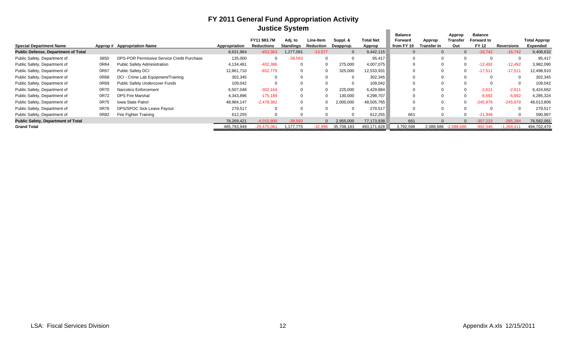## **FY 2011 General Fund Appropriation Activity Justice System**

|                                            |      |                                            |               |                                   | <b>JUSTICE SYSTEM</b> |                        |                       |                            |                                                |                       |                           |                                              |             |                                        |
|--------------------------------------------|------|--------------------------------------------|---------------|-----------------------------------|-----------------------|------------------------|-----------------------|----------------------------|------------------------------------------------|-----------------------|---------------------------|----------------------------------------------|-------------|----------------------------------------|
| <b>Special Department Name</b>             |      | Approp# Appropriation Name                 | Appropriation | FY11 \$83.7M<br><b>Reductions</b> | Adj. to<br>Standings  | Line-Item<br>Reduction | Suppl. &<br>Deapprop. | <b>Total Net</b><br>Approp | <b>Balance</b><br><b>Forward</b><br>from FY 10 | Approp<br>Transfer In | Approp<br>Transfer<br>Out | <b>Balance</b><br>Forward to<br><b>FY 12</b> | Reversions  | <b>Total Approp</b><br><b>Expended</b> |
| <b>Public Defense, Department of Total</b> |      |                                            | 8,631,964     | -453.363                          | 1,277,091             | $-13,577$              | $\Omega$              | 9,442,115                  |                                                |                       | $\Omega$                  | $-16,742$                                    | $-16.742$   | 9,408,632                              |
| Public Safety, Department of               | 0850 | DPS-POR Permissive Service Credit Purchase | 135,000       |                                   | $-39,583$             |                        |                       | 95,417                     |                                                |                       | റ                         | $\Omega$                                     |             | 95,417                                 |
| Public Safety, Department of               | 0R64 | <b>Public Safety Administration</b>        | 4,134,461     | $-402,386$                        | 0                     |                        | 275,000               | 4,007,075                  |                                                |                       | $\Omega$                  | $-12,492$                                    | $-12,492$   | 3,982,090                              |
| Public Safety, Department of               | 0R67 | Public Safety DCI                          | 12,861,710    | $-652,779$                        |                       |                        | 325,000               | 12,533,931                 |                                                |                       |                           | $-17,511$                                    | $-17,511$   | 12,498,910                             |
| Public Safety, Department of               | 0R68 | DCI - Crime Lab Equipment/Training         | 302,345       | $\Omega$                          |                       |                        | $\Omega$              | 302,345                    |                                                |                       | $\Omega$                  | $\Omega$                                     |             | 302,345                                |
| Public Safety, Department of               | 0R69 | Public Safety Undercover Funds             | 109,042       |                                   |                       |                        |                       | 109,042                    |                                                |                       |                           | $\Omega$                                     |             | 109,042                                |
| Public Safety, Department of               | 0R70 | Narcotics Enforcement                      | 6,507,048     | $-302,164$                        |                       |                        | 225,000               | 6,429,884                  |                                                |                       | $\Omega$                  | $-2,611$                                     | $-2,611$    | 6,424,662                              |
| Public Safety, Department of               | 0R72 | <b>DPS Fire Marshal</b>                    | 4,343,896     | $-175,189$                        | 0                     |                        | 130,000               | 4,298,707                  |                                                |                       | $\Omega$                  | $-6,692$                                     | $-6,692$    | 4,285,324                              |
| Public Safety, Department of               | 0R75 | <b>Iowa State Patrol</b>                   | 48,984,147    | $-2,478,382$                      |                       |                        | 2,000,000             | 48,505,765                 |                                                |                       | $\Omega$                  | -245,979                                     | $-245,979$  | 48,013,806                             |
| Public Safety, Department of               | 0R76 | DPS/SPOC Sick Leave Payout                 | 279,517       |                                   |                       |                        |                       | 279,517                    |                                                |                       |                           | 0                                            |             | 279,517                                |
| Public Safety, Department of               | 0R82 | Fire Fighter Training                      | 612,255       |                                   |                       |                        |                       | 612,255                    | 661                                            |                       | $\Omega$                  | $-21,948$                                    |             | 590,967                                |
| <b>Public Safety, Department of Total</b>  |      |                                            | 78,269,421    | $-4.010.900$                      | $-39.583$             |                        | 2,955,000             | 77,173,938                 | 661                                            |                       |                           | $-307.233$                                   | $-285.284$  | 76,582,081                             |
| <b>Grand Total</b>                         |      |                                            | 485,793,949   | $-29.475.08$                      | 1.177.775             | $-32.998$              | 35,708,183            | 493,171,828                | 3,792,598                                      | 2.088.686             | $-2.088.686$              | $-992.546$                                   | $-1.269.41$ | 494,702,470                            |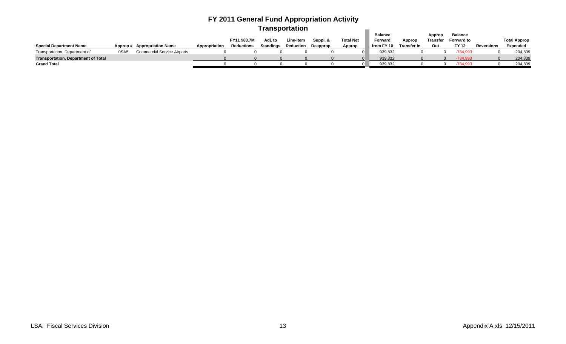## **FY 2011 General Fund Appropriation Activity Transportation**

|                                            |      |                                    |               |                   |                  |           |           |                  | Balance    |             | Approp          | Balance           |            |                     |
|--------------------------------------------|------|------------------------------------|---------------|-------------------|------------------|-----------|-----------|------------------|------------|-------------|-----------------|-------------------|------------|---------------------|
|                                            |      |                                    |               | FY11 \$83.7M      | Adi. to          | Line-Item | Suppl. &  | <b>Total Net</b> | Forward    | Approp      | <b>Transfer</b> | <b>Forward to</b> |            | <b>Total Approp</b> |
| <b>Special Department Name</b>             |      | Approp# Appropriation Name         | Appropriation | <b>Reductions</b> | <b>Standings</b> | Reduction | Deapprop. | Approp           | from FY 10 | Transfer In | Out             | <b>FY 12</b>      | Reversions | Expended            |
| Transportation, Department of              | 0SA5 | <b>Commercial Service Airports</b> |               |                   |                  |           |           |                  | 939,832    |             |                 | -734.993          |            | 204,839             |
| <b>Transportation, Department of Total</b> |      |                                    |               |                   |                  |           |           |                  | 939,832    |             |                 | 734.993           |            | 204,839             |
| <b>Grand Total</b>                         |      |                                    |               |                   |                  |           |           |                  | 939.832    |             |                 | -734.993          |            | 204,839             |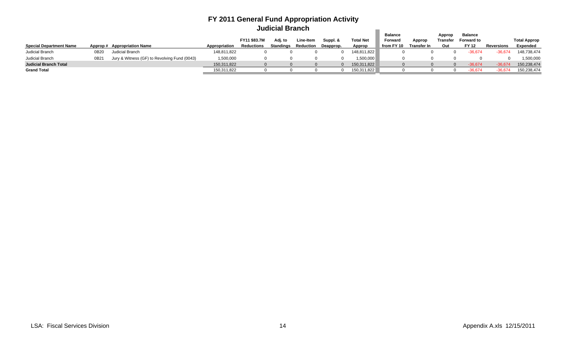## **FY 2011 General Fund Appropriation Activity Judicial Branch**

|                                |          |                                              |               |              |                  |           |           |                  | Balance    |                    | Appror   | Balance           |            |                     |
|--------------------------------|----------|----------------------------------------------|---------------|--------------|------------------|-----------|-----------|------------------|------------|--------------------|----------|-------------------|------------|---------------------|
|                                |          |                                              |               | FY11 \$83.7M |                  | Line-Item | Suppl. &  | <b>Total Net</b> | Forward    | Appror             | Transfer | <b>Forward to</b> |            | <b>Total Approp</b> |
| <b>Special Department Name</b> | Approp # | <b>Appropriation Name</b>                    | Appropriation | Reductions   | <b>Standings</b> | Reduction | Deapprop. | Approp           | from FY 10 | <b>Transfer In</b> | Out      | <b>FY 12</b>      | Reversions | <b>Expended</b>     |
| Judicial Branch                | 0B20     | Judicial Branch                              | 148,811,822   |              |                  |           |           | 148,811,822      |            |                    |          | 36.674            |            | 148,738,474         |
| Judicial Branch                | 0B2'     | Jury & Witness (GF) to Revolving Fund (0043) | 1,500,000     |              |                  |           |           | 1,500,000        |            |                    |          |                   |            | 1,500,000           |
| <b>Judicial Branch Total</b>   |          |                                              | 150,311,822   |              |                  |           |           | 150,311,822      |            |                    |          | $-36.674$         |            | 150,238,474         |
| <b>Grand Total</b>             |          |                                              | 150,311,822   |              |                  |           |           | 150,311,822      |            |                    |          | $-36.674$         |            | 150,238,474         |